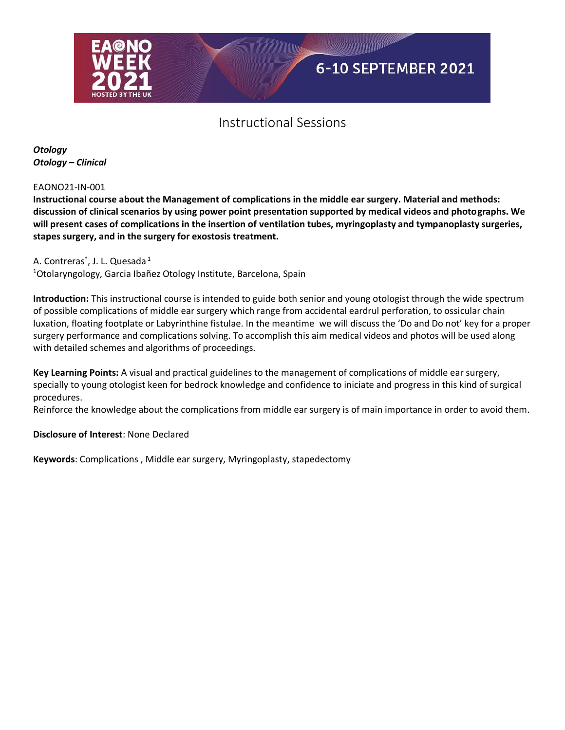

*Otology Otology – Clinical*

EAONO21-IN-001

**Instructional course about the Management of complications in the middle ear surgery. Material and methods: discussion of clinical scenarios by using power point presentation supported by medical videos and photographs. We will present cases of complications in the insertion of ventilation tubes, myringoplasty and tympanoplasty surgeries, stapes surgery, and in the surgery for exostosis treatment.**

A. Contreras<sup>\*</sup>, J. L. Quesada <sup>1</sup> <sup>1</sup>Otolaryngology, Garcia Ibañez Otology Institute, Barcelona, Spain

**Introduction:** This instructional course is intended to guide both senior and young otologist through the wide spectrum of possible complications of middle ear surgery which range from accidental eardrul perforation, to ossicular chain luxation, floating footplate or Labyrinthine fistulae. In the meantime we will discuss the 'Do and Do not' key for a proper surgery performance and complications solving. To accomplish this aim medical videos and photos will be used along with detailed schemes and algorithms of proceedings.

**Key Learning Points:** A visual and practical guidelines to the management of complications of middle ear surgery, specially to young otologist keen for bedrock knowledge and confidence to iniciate and progress in this kind of surgical procedures.

Reinforce the knowledge about the complications from middle ear surgery is of main importance in order to avoid them.

**Disclosure of Interest**: None Declared

**Keywords**: Complications , Middle ear surgery, Myringoplasty, stapedectomy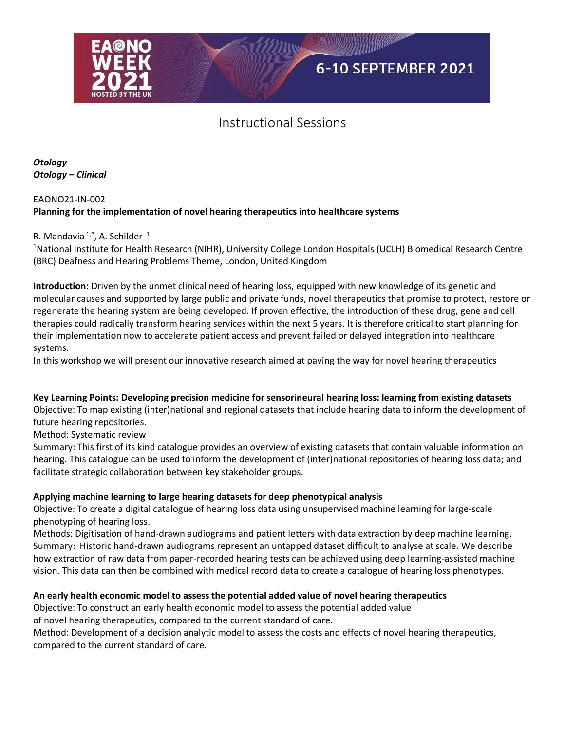

*Otology Otology – Clinical*

## EAONO21-IN-002 **Planning for the implementation of novel hearing therapeutics into healthcare systems**

### R. Mandavia  $1, 1, 1$ , A. Schilder  $1$

<sup>1</sup>National Institute for Health Research (NIHR), University College London Hospitals (UCLH) Biomedical Research Centre (BRC) Deafness and Hearing Problems Theme, London, United Kingdom

**Introduction:** Driven by the unmet clinical need of hearing loss, equipped with new knowledge of its genetic and molecular causes and supported by large public and private funds, novel therapeutics that promise to protect, restore or regenerate the hearing system are being developed. If proven effective, the introduction of these drug, gene and cell therapies could radically transform hearing services within the next 5 years. It is therefore critical to start planning for their implementation now to accelerate patient access and prevent failed or delayed integration into healthcare systems.

In this workshop we will present our innovative research aimed at paving the way for novel hearing therapeutics

### **Key Learning Points: Developing precision medicine for sensorineural hearing loss: learning from existing datasets**

Objective: To map existing (inter)national and regional datasets that include hearing data to inform the development of future hearing repositories.

Method: Systematic review

Summary: This first of its kind catalogue provides an overview of existing datasets that contain valuable information on hearing. This catalogue can be used to inform the development of (inter)national repositories of hearing loss data; and facilitate strategic collaboration between key stakeholder groups.

### **Applying machine learning to large hearing datasets for deep phenotypical analysis**

Objective: To create a digital catalogue of hearing loss data using unsupervised machine learning for large-scale phenotyping of hearing loss.

Methods: Digitisation of hand-drawn audiograms and patient letters with data extraction by deep machine learning. Summary: Historic hand-drawn audiograms represent an untapped dataset difficult to analyse at scale. We describe how extraction of raw data from paper-recorded hearing tests can be achieved using deep learning-assisted machine vision. This data can then be combined with medical record data to create a catalogue of hearing loss phenotypes.

### **An early health economic model to assess the potential added value of novel hearing therapeutics**

Objective: To construct an early health economic model to assess the potential added value

of novel hearing therapeutics, compared to the current standard of care.

Method: Development of a decision analytic model to assess the costs and effects of novel hearing therapeutics, compared to the current standard of care.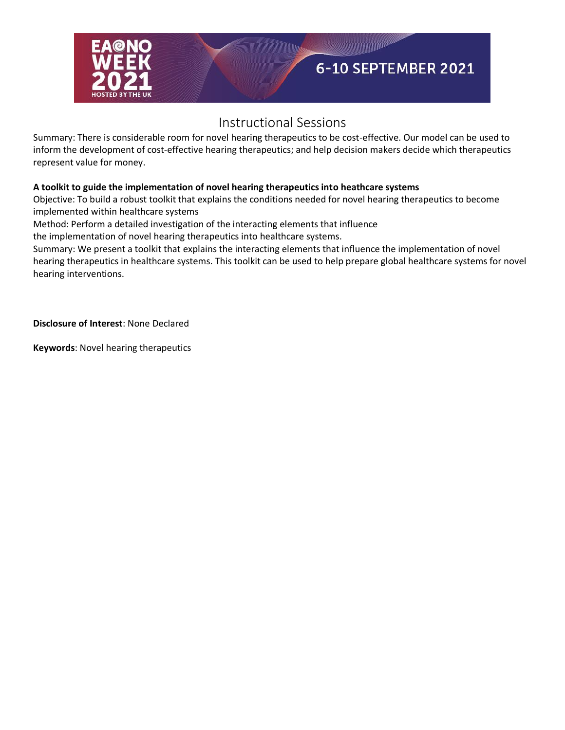

Summary: There is considerable room for novel hearing therapeutics to be cost-effective. Our model can be used to inform the development of cost-effective hearing therapeutics; and help decision makers decide which therapeutics represent value for money.

## **A toolkit to guide the implementation of novel hearing therapeutics into heathcare systems**

Objective: To build a robust toolkit that explains the conditions needed for novel hearing therapeutics to become implemented within healthcare systems

Method: Perform a detailed investigation of the interacting elements that influence

the implementation of novel hearing therapeutics into healthcare systems.

Summary: We present a toolkit that explains the interacting elements that influence the implementation of novel hearing therapeutics in healthcare systems. This toolkit can be used to help prepare global healthcare systems for novel hearing interventions.

**Disclosure of Interest**: None Declared

**Keywords**: Novel hearing therapeutics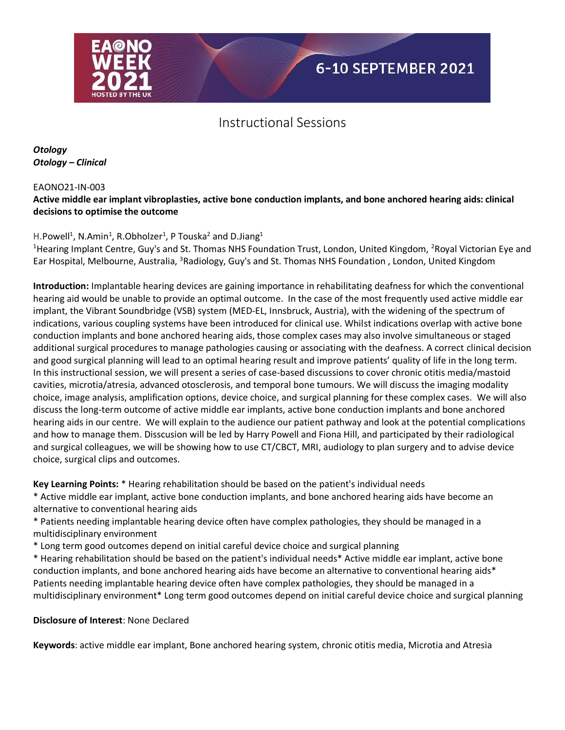

*Otology Otology – Clinical*

EAONO21-IN-003

## **Active middle ear implant vibroplasties, active bone conduction implants, and bone anchored hearing aids: clinical decisions to optimise the outcome**

## H.Powell<sup>1</sup>, N.Amin<sup>1</sup>, R.Obholzer<sup>1</sup>, P Touska<sup>2</sup> and D.Jiang<sup>1</sup>

<sup>1</sup>Hearing Implant Centre, Guy's and St. Thomas NHS Foundation Trust, London, United Kingdom, <sup>2</sup>Royal Victorian Eye and Ear Hospital, Melbourne, Australia, <sup>3</sup>Radiology, Guy's and St. Thomas NHS Foundation, London, United Kingdom

**Introduction:** Implantable hearing devices are gaining importance in rehabilitating deafness for which the conventional hearing aid would be unable to provide an optimal outcome. In the case of the most frequently used active middle ear implant, the Vibrant Soundbridge (VSB) system (MED-EL, Innsbruck, Austria), with the widening of the spectrum of indications, various coupling systems have been introduced for clinical use. Whilst indications overlap with active bone conduction implants and bone anchored hearing aids, those complex cases may also involve simultaneous or staged additional surgical procedures to manage pathologies causing or associating with the deafness. A correct clinical decision and good surgical planning will lead to an optimal hearing result and improve patients' quality of life in the long term. In this instructional session, we will present a series of case-based discussions to cover chronic otitis media/mastoid cavities, microtia/atresia, advanced otosclerosis, and temporal bone tumours. We will discuss the imaging modality choice, image analysis, amplification options, device choice, and surgical planning for these complex cases. We will also discuss the long-term outcome of active middle ear implants, active bone conduction implants and bone anchored hearing aids in our centre. We will explain to the audience our patient pathway and look at the potential complications and how to manage them. Disscusion will be led by Harry Powell and Fiona Hill, and participated by their radiological and surgical colleagues, we will be showing how to use CT/CBCT, MRI, audiology to plan surgery and to advise device choice, surgical clips and outcomes.

**Key Learning Points:** \* Hearing rehabilitation should be based on the patient's individual needs

\* Active middle ear implant, active bone conduction implants, and bone anchored hearing aids have become an alternative to conventional hearing aids

\* Patients needing implantable hearing device often have complex pathologies, they should be managed in a multidisciplinary environment

\* Long term good outcomes depend on initial careful device choice and surgical planning

\* Hearing rehabilitation should be based on the patient's individual needs\* Active middle ear implant, active bone conduction implants, and bone anchored hearing aids have become an alternative to conventional hearing aids\* Patients needing implantable hearing device often have complex pathologies, they should be managed in a multidisciplinary environment\* Long term good outcomes depend on initial careful device choice and surgical planning

### **Disclosure of Interest**: None Declared

**Keywords**: active middle ear implant, Bone anchored hearing system, chronic otitis media, Microtia and Atresia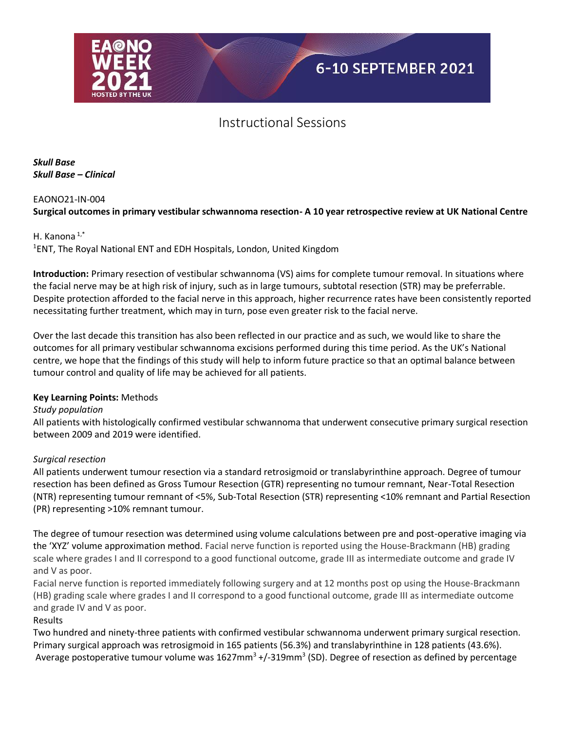

*Skull Base Skull Base – Clinical*

#### EAONO21-IN-004

### **Surgical outcomes in primary vestibular schwannoma resection- A 10 year retrospective review at UK National Centre**

#### H. Kanona $1,$ <sup>\*</sup>

1 ENT, The Royal National ENT and EDH Hospitals, London, United Kingdom

**Introduction:** Primary resection of vestibular schwannoma (VS) aims for complete tumour removal. In situations where the facial nerve may be at high risk of injury, such as in large tumours, subtotal resection (STR) may be preferrable. Despite protection afforded to the facial nerve in this approach, higher recurrence rates have been consistently reported necessitating further treatment, which may in turn, pose even greater risk to the facial nerve.

Over the last decade this transition has also been reflected in our practice and as such, we would like to share the outcomes for all primary vestibular schwannoma excisions performed during this time period. As the UK's National centre, we hope that the findings of this study will help to inform future practice so that an optimal balance between tumour control and quality of life may be achieved for all patients.

#### **Key Learning Points:** Methods

#### *Study population*

All patients with histologically confirmed vestibular schwannoma that underwent consecutive primary surgical resection between 2009 and 2019 were identified.

#### *Surgical resection*

All patients underwent tumour resection via a standard retrosigmoid or translabyrinthine approach. Degree of tumour resection has been defined as Gross Tumour Resection (GTR) representing no tumour remnant, Near-Total Resection (NTR) representing tumour remnant of <5%, Sub-Total Resection (STR) representing <10% remnant and Partial Resection (PR) representing >10% remnant tumour.

The degree of tumour resection was determined using volume calculations between pre and post-operative imaging via the 'XYZ' volume approximation method. Facial nerve function is reported using the House-Brackmann (HB) grading scale where grades I and II correspond to a good functional outcome, grade III as intermediate outcome and grade IV and V as poor.

Facial nerve function is reported immediately following surgery and at 12 months post op using the House-Brackmann (HB) grading scale where grades I and II correspond to a good functional outcome, grade III as intermediate outcome and grade IV and V as poor.

#### Results

Two hundred and ninety-three patients with confirmed vestibular schwannoma underwent primary surgical resection. Primary surgical approach was retrosigmoid in 165 patients (56.3%) and translabyrinthine in 128 patients (43.6%). Average postoperative tumour volume was 1627mm<sup>3</sup> +/-319mm<sup>3</sup> (SD). Degree of resection as defined by percentage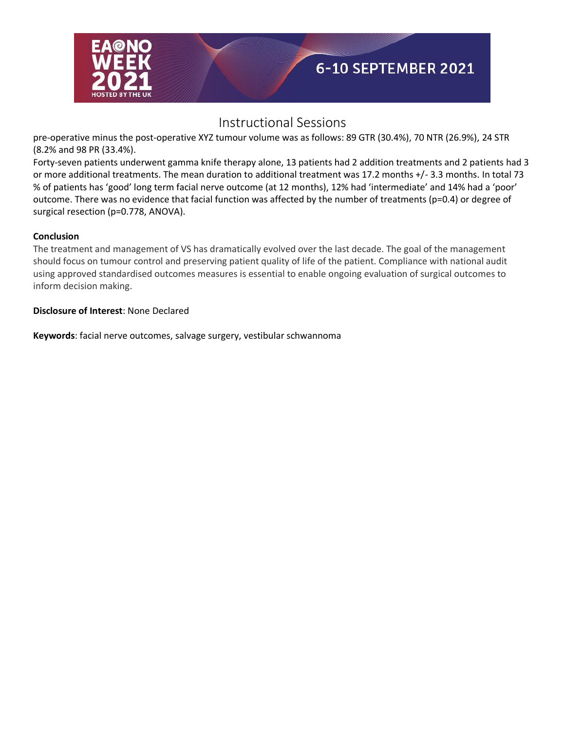

pre-operative minus the post-operative XYZ tumour volume was as follows: 89 GTR (30.4%), 70 NTR (26.9%), 24 STR (8.2% and 98 PR (33.4%).

Forty-seven patients underwent gamma knife therapy alone, 13 patients had 2 addition treatments and 2 patients had 3 or more additional treatments. The mean duration to additional treatment was 17.2 months +/- 3.3 months. In total 73 % of patients has 'good' long term facial nerve outcome (at 12 months), 12% had 'intermediate' and 14% had a 'poor' outcome. There was no evidence that facial function was affected by the number of treatments (p=0.4) or degree of surgical resection (p=0.778, ANOVA).

### **Conclusion**

The treatment and management of VS has dramatically evolved over the last decade. The goal of the management should focus on tumour control and preserving patient quality of life of the patient. Compliance with national audit using approved standardised outcomes measures is essential to enable ongoing evaluation of surgical outcomes to inform decision making.

### **Disclosure of Interest**: None Declared

**Keywords**: facial nerve outcomes, salvage surgery, vestibular schwannoma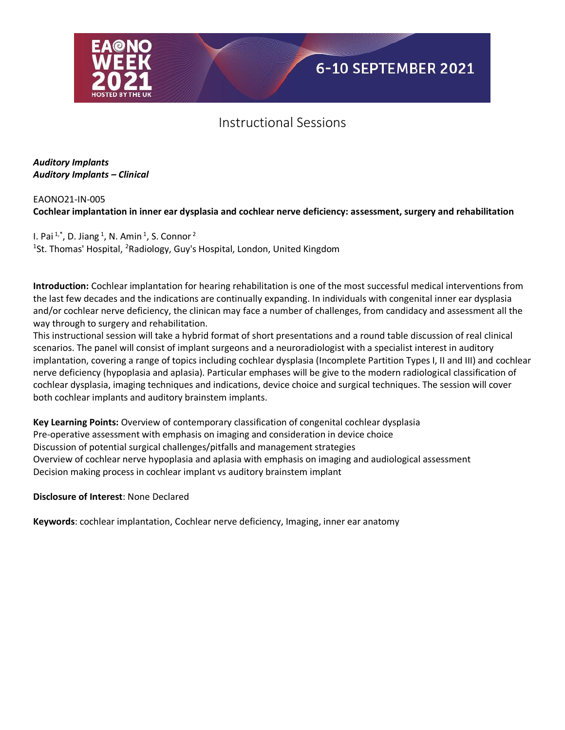

*Auditory Implants Auditory Implants – Clinical*

## EAONO21-IN-005 **Cochlear implantation in inner ear dysplasia and cochlear nerve deficiency: assessment, surgery and rehabilitation**

I. Pai $1, 1^*$ , D. Jiang  $1$ , N. Amin  $1$ , S. Connor  $2$ <sup>1</sup>St. Thomas' Hospital, <sup>2</sup>Radiology, Guy's Hospital, London, United Kingdom

**Introduction:** Cochlear implantation for hearing rehabilitation is one of the most successful medical interventions from the last few decades and the indications are continually expanding. In individuals with congenital inner ear dysplasia and/or cochlear nerve deficiency, the clinican may face a number of challenges, from candidacy and assessment all the way through to surgery and rehabilitation.

This instructional session will take a hybrid format of short presentations and a round table discussion of real clinical scenarios. The panel will consist of implant surgeons and a neuroradiologist with a specialist interest in auditory implantation, covering a range of topics including cochlear dysplasia (Incomplete Partition Types I, II and III) and cochlear nerve deficiency (hypoplasia and aplasia). Particular emphases will be give to the modern radiological classification of cochlear dysplasia, imaging techniques and indications, device choice and surgical techniques. The session will cover both cochlear implants and auditory brainstem implants.

**Key Learning Points:** Overview of contemporary classification of congenital cochlear dysplasia Pre-operative assessment with emphasis on imaging and consideration in device choice Discussion of potential surgical challenges/pitfalls and management strategies Overview of cochlear nerve hypoplasia and aplasia with emphasis on imaging and audiological assessment Decision making process in cochlear implant vs auditory brainstem implant

**Disclosure of Interest**: None Declared

**Keywords**: cochlear implantation, Cochlear nerve deficiency, Imaging, inner ear anatomy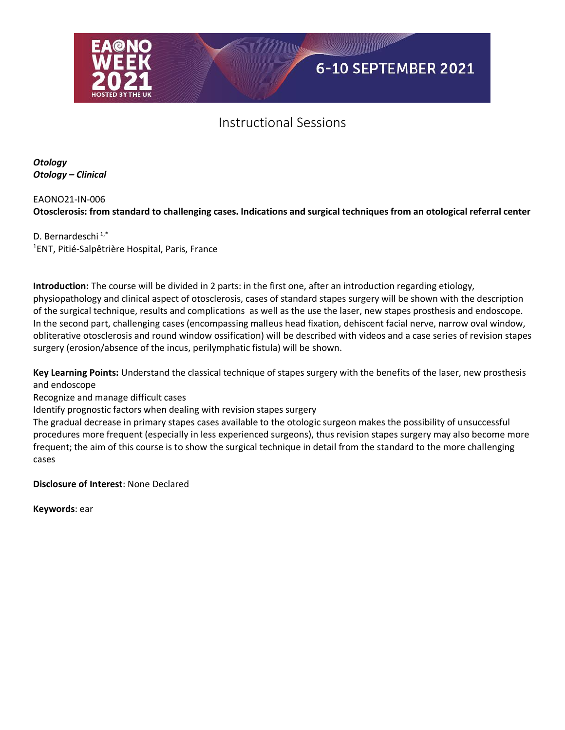

*Otology Otology – Clinical*

## EAONO21-IN-006 **Otosclerosis: from standard to challenging cases. Indications and surgical techniques from an otological referral center**

D. Bernardeschi<sup>1,\*</sup> 1 ENT, Pitié-Salpêtrière Hospital, Paris, France

**Introduction:** The course will be divided in 2 parts: in the first one, after an introduction regarding etiology, physiopathology and clinical aspect of otosclerosis, cases of standard stapes surgery will be shown with the description of the surgical technique, results and complications as well as the use the laser, new stapes prosthesis and endoscope. In the second part, challenging cases (encompassing malleus head fixation, dehiscent facial nerve, narrow oval window, obliterative otosclerosis and round window ossification) will be described with videos and a case series of revision stapes surgery (erosion/absence of the incus, perilymphatic fistula) will be shown.

**Key Learning Points:** Understand the classical technique of stapes surgery with the benefits of the laser, new prosthesis and endoscope

Recognize and manage difficult cases

Identify prognostic factors when dealing with revision stapes surgery

The gradual decrease in primary stapes cases available to the otologic surgeon makes the possibility of unsuccessful procedures more frequent (especially in less experienced surgeons), thus revision stapes surgery may also become more frequent; the aim of this course is to show the surgical technique in detail from the standard to the more challenging cases

**Disclosure of Interest**: None Declared

**Keywords**: ear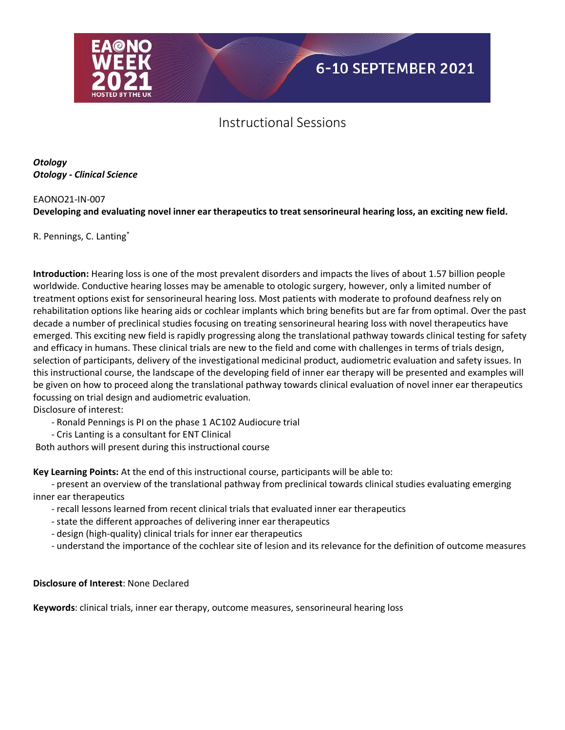

*Otology Otology - Clinical Science*

#### EAONO21-IN-007

**Developing and evaluating novel inner ear therapeutics to treat sensorineural hearing loss, an exciting new field.**

R. Pennings, C. Lanting\*

**Introduction:** Hearing loss is one of the most prevalent disorders and impacts the lives of about 1.57 billion people worldwide. Conductive hearing losses may be amenable to otologic surgery, however, only a limited number of treatment options exist for sensorineural hearing loss. Most patients with moderate to profound deafness rely on rehabilitation options like hearing aids or cochlear implants which bring benefits but are far from optimal. Over the past decade a number of preclinical studies focusing on treating sensorineural hearing loss with novel therapeutics have emerged. This exciting new field is rapidly progressing along the translational pathway towards clinical testing for safety and efficacy in humans. These clinical trials are new to the field and come with challenges in terms of trials design, selection of participants, delivery of the investigational medicinal product, audiometric evaluation and safety issues. In this instructional course, the landscape of the developing field of inner ear therapy will be presented and examples will be given on how to proceed along the translational pathway towards clinical evaluation of novel inner ear therapeutics focussing on trial design and audiometric evaluation.

Disclosure of interest:

- Ronald Pennings is PI on the phase 1 AC102 Audiocure trial
- Cris Lanting is a consultant for ENT Clinical

Both authors will present during this instructional course

**Key Learning Points:** At the end of this instructional course, participants will be able to:

 - present an overview of the translational pathway from preclinical towards clinical studies evaluating emerging inner ear therapeutics

- recall lessons learned from recent clinical trials that evaluated inner ear therapeutics
- state the different approaches of delivering inner ear therapeutics
- design (high-quality) clinical trials for inner ear therapeutics
- understand the importance of the cochlear site of lesion and its relevance for the definition of outcome measures

### **Disclosure of Interest**: None Declared

**Keywords**: clinical trials, inner ear therapy, outcome measures, sensorineural hearing loss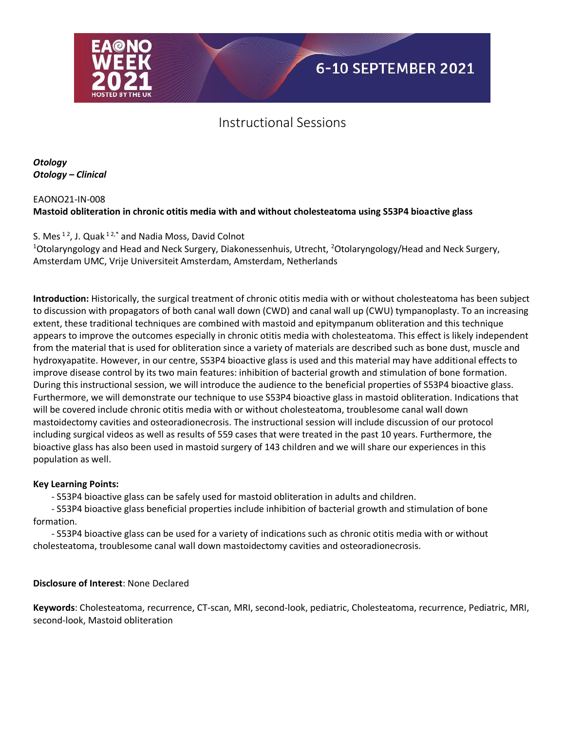

*Otology Otology – Clinical*

### EAONO21-IN-008 **Mastoid obliteration in chronic otitis media with and without cholesteatoma using S53P4 bioactive glass**

## S. Mes  $12$ , J. Quak  $12$ , and Nadia Moss, David Colnot

<sup>1</sup>Otolaryngology and Head and Neck Surgery, Diakonessenhuis, Utrecht, <sup>2</sup>Otolaryngology/Head and Neck Surgery, Amsterdam UMC, Vrije Universiteit Amsterdam, Amsterdam, Netherlands

**Introduction:** Historically, the surgical treatment of chronic otitis media with or without cholesteatoma has been subject to discussion with propagators of both canal wall down (CWD) and canal wall up (CWU) tympanoplasty. To an increasing extent, these traditional techniques are combined with mastoid and epitympanum obliteration and this technique appears to improve the outcomes especially in chronic otitis media with cholesteatoma. This effect is likely independent from the material that is used for obliteration since a variety of materials are described such as bone dust, muscle and hydroxyapatite. However, in our centre, S53P4 bioactive glass is used and this material may have additional effects to improve disease control by its two main features: inhibition of bacterial growth and stimulation of bone formation. During this instructional session, we will introduce the audience to the beneficial properties of S53P4 bioactive glass. Furthermore, we will demonstrate our technique to use S53P4 bioactive glass in mastoid obliteration. Indications that will be covered include chronic otitis media with or without cholesteatoma, troublesome canal wall down mastoidectomy cavities and osteoradionecrosis. The instructional session will include discussion of our protocol including surgical videos as well as results of 559 cases that were treated in the past 10 years. Furthermore, the bioactive glass has also been used in mastoid surgery of 143 children and we will share our experiences in this population as well.

### **Key Learning Points:**

- S53P4 bioactive glass can be safely used for mastoid obliteration in adults and children.

 - S53P4 bioactive glass beneficial properties include inhibition of bacterial growth and stimulation of bone formation.

 - S53P4 bioactive glass can be used for a variety of indications such as chronic otitis media with or without cholesteatoma, troublesome canal wall down mastoidectomy cavities and osteoradionecrosis.

### **Disclosure of Interest**: None Declared

**Keywords**: Cholesteatoma, recurrence, CT-scan, MRI, second-look, pediatric, Cholesteatoma, recurrence, Pediatric, MRI, second-look, Mastoid obliteration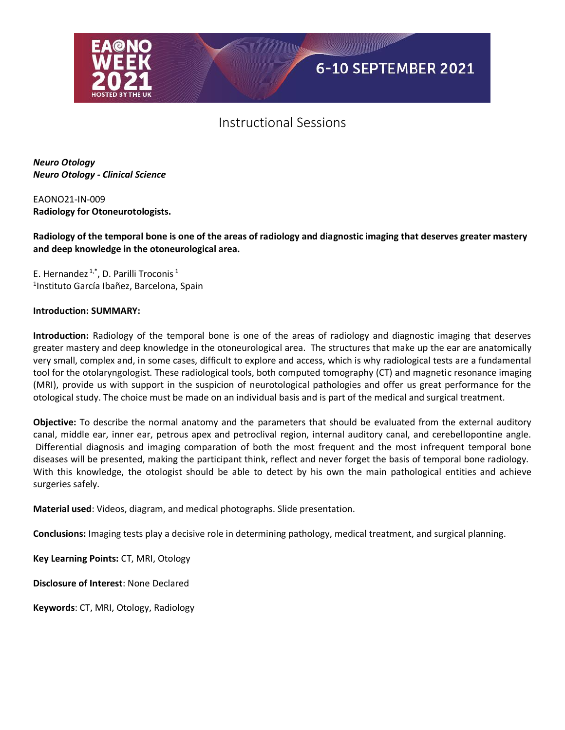

*Neuro Otology Neuro Otology - Clinical Science*

EAONO21-IN-009 **Radiology for Otoneurotologists.** 

**Radiology of the temporal bone is one of the areas of radiology and diagnostic imaging that deserves greater mastery and deep knowledge in the otoneurological area.** 

E. Hernandez  $1, 1, 1$ , D. Parilli Troconis<sup>1</sup> 1 Instituto García Ibañez, Barcelona, Spain

#### **Introduction: SUMMARY:**

**Introduction:** Radiology of the temporal bone is one of the areas of radiology and diagnostic imaging that deserves greater mastery and deep knowledge in the otoneurological area. The structures that make up the ear are anatomically very small, complex and, in some cases, difficult to explore and access, which is why radiological tests are a fundamental tool for the otolaryngologist. These radiological tools, both computed tomography (CT) and magnetic resonance imaging (MRI), provide us with support in the suspicion of neurotological pathologies and offer us great performance for the otological study. The choice must be made on an individual basis and is part of the medical and surgical treatment.

**Objective:** To describe the normal anatomy and the parameters that should be evaluated from the external auditory canal, middle ear, inner ear, petrous apex and petroclival region, internal auditory canal, and cerebellopontine angle. Differential diagnosis and imaging comparation of both the most frequent and the most infrequent temporal bone diseases will be presented, making the participant think, reflect and never forget the basis of temporal bone radiology. With this knowledge, the otologist should be able to detect by his own the main pathological entities and achieve surgeries safely.

**Material used**: Videos, diagram, and medical photographs. Slide presentation.

**Conclusions:** Imaging tests play a decisive role in determining pathology, medical treatment, and surgical planning.

**Key Learning Points:** CT, MRI, Otology

**Disclosure of Interest**: None Declared

**Keywords**: CT, MRI, Otology, Radiology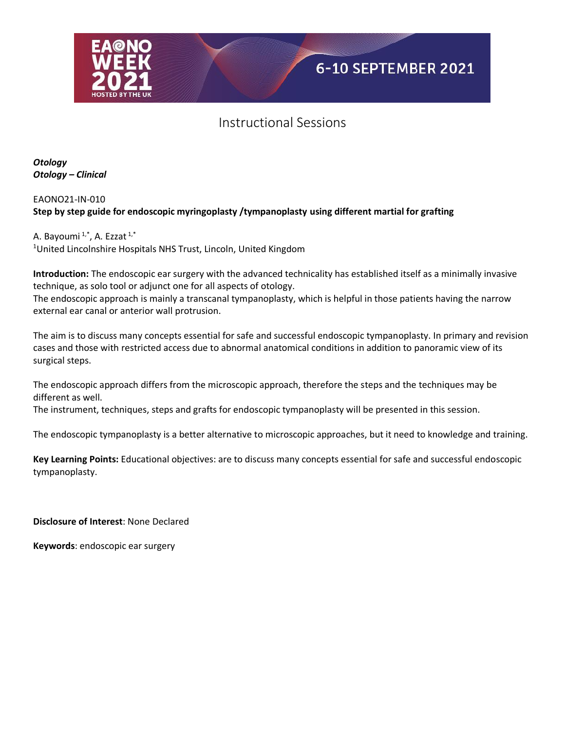

*Otology Otology – Clinical*

### EAONO21-IN-010 **Step by step guide for endoscopic myringoplasty /tympanoplasty using different martial for grafting**

A. Bayoumi<sup>1,\*</sup>, A. Ezzat<sup>1,\*</sup> <sup>1</sup>United Lincolnshire Hospitals NHS Trust, Lincoln, United Kingdom

**Introduction:** The endoscopic ear surgery with the advanced technicality has established itself as a minimally invasive technique, as solo tool or adjunct one for all aspects of otology.

The endoscopic approach is mainly a transcanal tympanoplasty, which is helpful in those patients having the narrow external ear canal or anterior wall protrusion.

The aim is to discuss many concepts essential for safe and successful endoscopic tympanoplasty. In primary and revision cases and those with restricted access due to abnormal anatomical conditions in addition to panoramic view of its surgical steps.

The endoscopic approach differs from the microscopic approach, therefore the steps and the techniques may be different as well.

The instrument, techniques, steps and grafts for endoscopic tympanoplasty will be presented in this session.

The endoscopic tympanoplasty is a better alternative to microscopic approaches, but it need to knowledge and training.

**Key Learning Points:** Educational objectives: are to discuss many concepts essential for safe and successful endoscopic tympanoplasty.

**Disclosure of Interest**: None Declared

**Keywords**: endoscopic ear surgery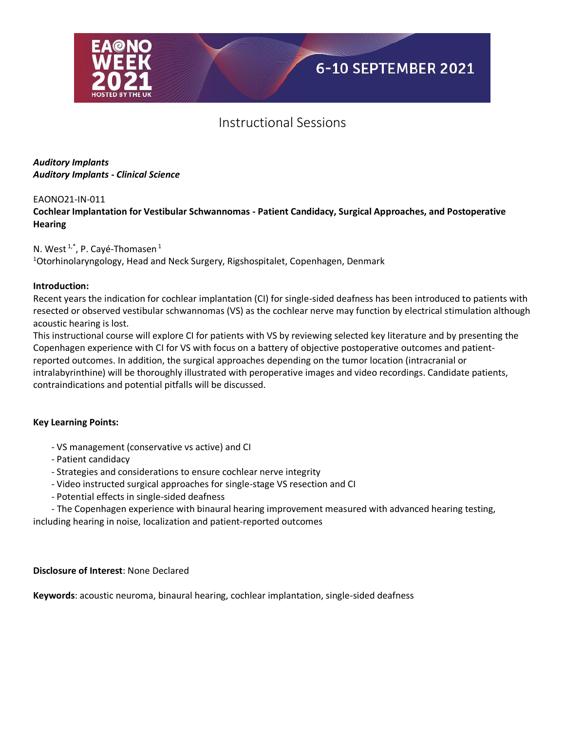

### *Auditory Implants Auditory Implants - Clinical Science*

#### EAONO21-IN-011

**Cochlear Implantation for Vestibular Schwannomas - Patient Candidacy, Surgical Approaches, and Postoperative Hearing**

### N. West  $1, 1, 1$ , P. Cayé-Thomasen  $1$

<sup>1</sup>Otorhinolaryngology, Head and Neck Surgery, Rigshospitalet, Copenhagen, Denmark

#### **Introduction:**

Recent years the indication for cochlear implantation (CI) for single-sided deafness has been introduced to patients with resected or observed vestibular schwannomas (VS) as the cochlear nerve may function by electrical stimulation although acoustic hearing is lost.

This instructional course will explore CI for patients with VS by reviewing selected key literature and by presenting the Copenhagen experience with CI for VS with focus on a battery of objective postoperative outcomes and patientreported outcomes. In addition, the surgical approaches depending on the tumor location (intracranial or intralabyrinthine) will be thoroughly illustrated with peroperative images and video recordings. Candidate patients, contraindications and potential pitfalls will be discussed.

#### **Key Learning Points:**

- VS management (conservative vs active) and CI
- Patient candidacy
- Strategies and considerations to ensure cochlear nerve integrity
- Video instructed surgical approaches for single-stage VS resection and CI
- Potential effects in single-sided deafness

 - The Copenhagen experience with binaural hearing improvement measured with advanced hearing testing, including hearing in noise, localization and patient-reported outcomes

#### **Disclosure of Interest**: None Declared

**Keywords**: acoustic neuroma, binaural hearing, cochlear implantation, single-sided deafness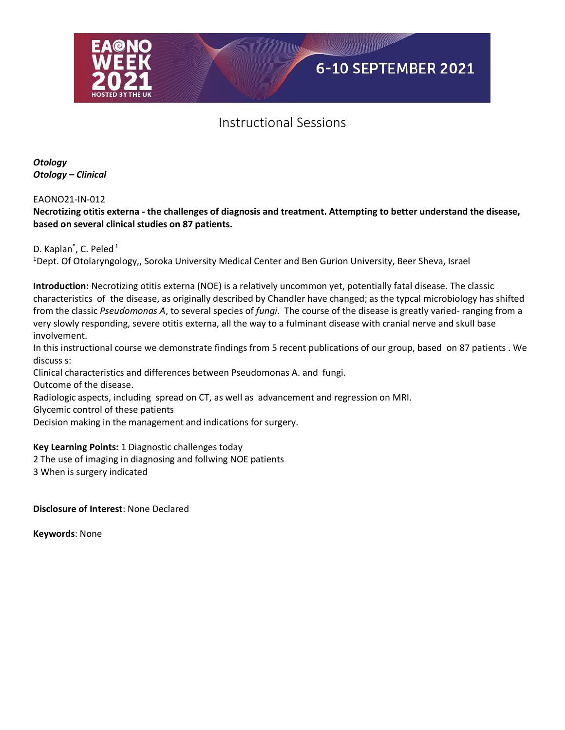

*Otology Otology – Clinical*

EAONO21-IN-012

### **Necrotizing otitis externa - the challenges of diagnosis and treatment. Attempting to better understand the disease, based on several clinical studies on 87 patients.**

D. Kaplan<sup>\*</sup>, C. Peled<sup>1</sup> <sup>1</sup>Dept. Of Otolaryngology,, Soroka University Medical Center and Ben Gurion University, Beer Sheva, Israel

**Introduction:** Necrotizing otitis externa (NOE) is a relatively uncommon yet, potentially fatal disease. The classic characteristics of the disease, as originally described by Chandler have changed; as the typcal microbiology has shifted from the classic *Pseudomonas A*, to several species of *fungi*. The course of the disease is greatly varied- ranging from a very slowly responding, severe otitis externa, all the way to a fulminant disease with cranial nerve and skull base involvement.

In this instructional course we demonstrate findings from 5 recent publications of our group, based on 87 patients . We discuss s:

Clinical characteristics and differences between Pseudomonas A. and fungi.

Outcome of the disease.

Radiologic aspects, including spread on CT, as well as advancement and regression on MRI.

Glycemic control of these patients

Decision making in the management and indications for surgery.

**Key Learning Points:** 1 Diagnostic challenges today

2 The use of imaging in diagnosing and follwing NOE patients

3 When is surgery indicated

**Disclosure of Interest**: None Declared

**Keywords**: None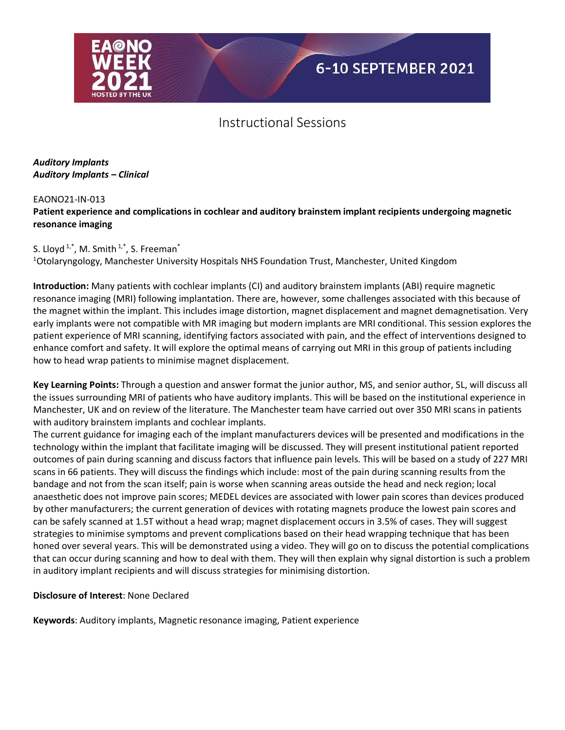

### *Auditory Implants Auditory Implants – Clinical*

### EAONO21-IN-013

**Patient experience and complications in cochlear and auditory brainstem implant recipients undergoing magnetic resonance imaging**

## S. Lloyd<sup>1,\*</sup>, M. Smith<sup>1,\*</sup>, S. Freeman<sup>\*</sup>

<sup>1</sup>Otolaryngology, Manchester University Hospitals NHS Foundation Trust, Manchester, United Kingdom

**Introduction:** Many patients with cochlear implants (CI) and auditory brainstem implants (ABI) require magnetic resonance imaging (MRI) following implantation. There are, however, some challenges associated with this because of the magnet within the implant. This includes image distortion, magnet displacement and magnet demagnetisation. Very early implants were not compatible with MR imaging but modern implants are MRI conditional. This session explores the patient experience of MRI scanning, identifying factors associated with pain, and the effect of interventions designed to enhance comfort and safety. It will explore the optimal means of carrying out MRI in this group of patients including how to head wrap patients to minimise magnet displacement.

**Key Learning Points:** Through a question and answer format the junior author, MS, and senior author, SL, will discuss all the issues surrounding MRI of patients who have auditory implants. This will be based on the institutional experience in Manchester, UK and on review of the literature. The Manchester team have carried out over 350 MRI scans in patients with auditory brainstem implants and cochlear implants.

The current guidance for imaging each of the implant manufacturers devices will be presented and modifications in the technology within the implant that facilitate imaging will be discussed. They will present institutional patient reported outcomes of pain during scanning and discuss factors that influence pain levels. This will be based on a study of 227 MRI scans in 66 patients. They will discuss the findings which include: most of the pain during scanning results from the bandage and not from the scan itself; pain is worse when scanning areas outside the head and neck region; local anaesthetic does not improve pain scores; MEDEL devices are associated with lower pain scores than devices produced by other manufacturers; the current generation of devices with rotating magnets produce the lowest pain scores and can be safely scanned at 1.5T without a head wrap; magnet displacement occurs in 3.5% of cases. They will suggest strategies to minimise symptoms and prevent complications based on their head wrapping technique that has been honed over several years. This will be demonstrated using a video. They will go on to discuss the potential complications that can occur during scanning and how to deal with them. They will then explain why signal distortion is such a problem in auditory implant recipients and will discuss strategies for minimising distortion.

### **Disclosure of Interest**: None Declared

**Keywords**: Auditory implants, Magnetic resonance imaging, Patient experience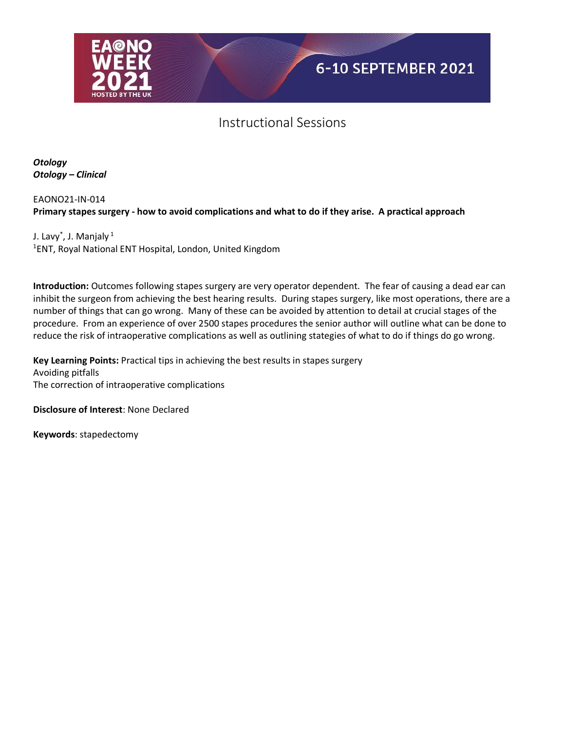

*Otology Otology – Clinical*

EAONO21-IN-014 **Primary stapes surgery - how to avoid complications and what to do if they arise. A practical approach**

J. Lavy $^*$ , J. Manjaly  $^1$ 1 ENT, Royal National ENT Hospital, London, United Kingdom

**Introduction:** Outcomes following stapes surgery are very operator dependent. The fear of causing a dead ear can inhibit the surgeon from achieving the best hearing results. During stapes surgery, like most operations, there are a number of things that can go wrong. Many of these can be avoided by attention to detail at crucial stages of the procedure. From an experience of over 2500 stapes procedures the senior author will outline what can be done to reduce the risk of intraoperative complications as well as outlining stategies of what to do if things do go wrong.

**Key Learning Points:** Practical tips in achieving the best results in stapes surgery Avoiding pitfalls The correction of intraoperative complications

**Disclosure of Interest**: None Declared

**Keywords**: stapedectomy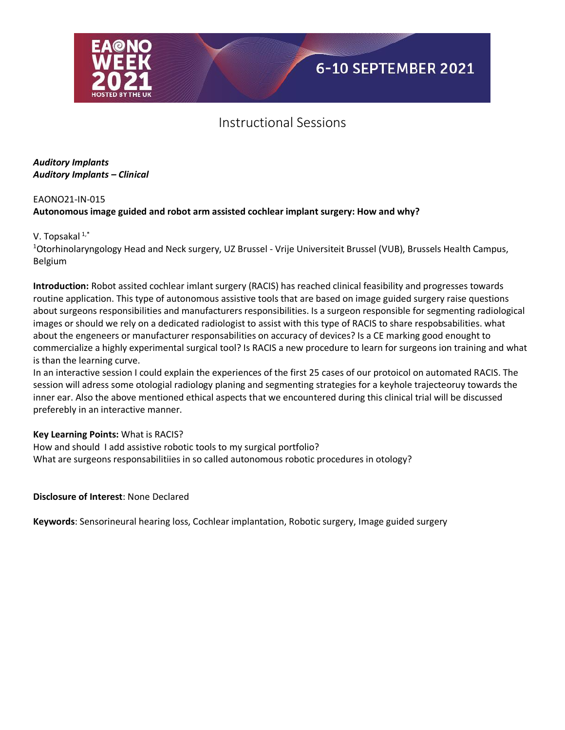

### *Auditory Implants Auditory Implants – Clinical*

#### EAONO21-IN-015

## **Autonomous image guided and robot arm assisted cochlear implant surgery: How and why?**

### V. Topsakal $1,$ \*

<sup>1</sup>Otorhinolaryngology Head and Neck surgery, UZ Brussel - Vrije Universiteit Brussel (VUB), Brussels Health Campus, Belgium

**Introduction:** Robot assited cochlear imlant surgery (RACIS) has reached clinical feasibility and progresses towards routine application. This type of autonomous assistive tools that are based on image guided surgery raise questions about surgeons responsibilities and manufacturers responsibilities. Is a surgeon responsible for segmenting radiological images or should we rely on a dedicated radiologist to assist with this type of RACIS to share respobsabilities. what about the engeneers or manufacturer responsabilities on accuracy of devices? Is a CE marking good enought to commercialize a highly experimental surgical tool? Is RACIS a new procedure to learn for surgeons ion training and what is than the learning curve.

In an interactive session I could explain the experiences of the first 25 cases of our protoicol on automated RACIS. The session will adress some otologial radiology planing and segmenting strategies for a keyhole trajecteoruy towards the inner ear. Also the above mentioned ethical aspects that we encountered during this clinical trial will be discussed preferebly in an interactive manner.

### **Key Learning Points:** What is RACIS?

How and should I add assistive robotic tools to my surgical portfolio? What are surgeons responsabilitiies in so called autonomous robotic procedures in otology?

### **Disclosure of Interest**: None Declared

**Keywords**: Sensorineural hearing loss, Cochlear implantation, Robotic surgery, Image guided surgery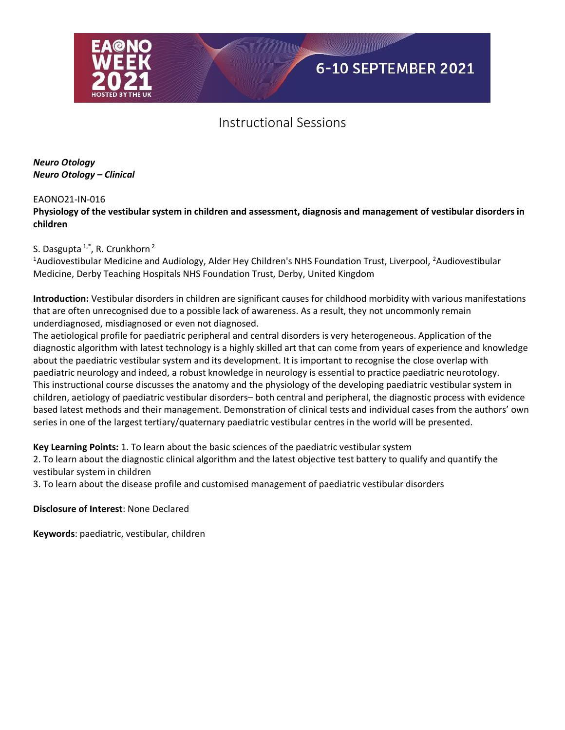

*Neuro Otology Neuro Otology – Clinical*

#### EAONO21-IN-016

**Physiology of the vestibular system in children and assessment, diagnosis and management of vestibular disorders in children**

### S. Dasgupta  $1, 1, 1$ , R. Crunkhorn<sup>2</sup>

<sup>1</sup>Audiovestibular Medicine and Audiology, Alder Hey Children's NHS Foundation Trust, Liverpool, <sup>2</sup>Audiovestibular Medicine, Derby Teaching Hospitals NHS Foundation Trust, Derby, United Kingdom

**Introduction:** Vestibular disorders in children are significant causes for childhood morbidity with various manifestations that are often unrecognised due to a possible lack of awareness. As a result, they not uncommonly remain underdiagnosed, misdiagnosed or even not diagnosed.

The aetiological profile for paediatric peripheral and central disorders is very heterogeneous. Application of the diagnostic algorithm with latest technology is a highly skilled art that can come from years of experience and knowledge about the paediatric vestibular system and its development. It is important to recognise the close overlap with paediatric neurology and indeed, a robust knowledge in neurology is essential to practice paediatric neurotology. This instructional course discusses the anatomy and the physiology of the developing paediatric vestibular system in children, aetiology of paediatric vestibular disorders– both central and peripheral, the diagnostic process with evidence based latest methods and their management. Demonstration of clinical tests and individual cases from the authors' own series in one of the largest tertiary/quaternary paediatric vestibular centres in the world will be presented.

**Key Learning Points:** 1. To learn about the basic sciences of the paediatric vestibular system

2. To learn about the diagnostic clinical algorithm and the latest objective test battery to qualify and quantify the vestibular system in children

3. To learn about the disease profile and customised management of paediatric vestibular disorders

**Disclosure of Interest**: None Declared

**Keywords**: paediatric, vestibular, children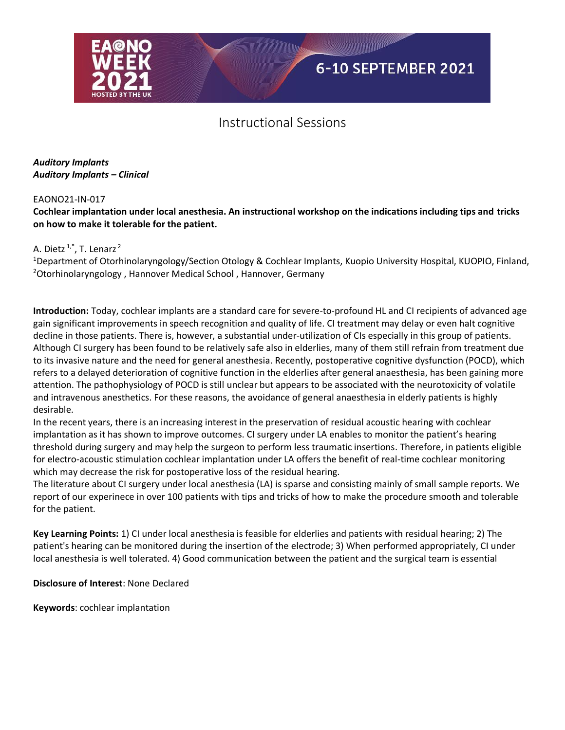

### *Auditory Implants Auditory Implants – Clinical*

#### EAONO21-IN-017

### **Cochlear implantation under local anesthesia. An instructional workshop on the indications including tips and tricks on how to make it tolerable for the patient.**

### A. Dietz  $1, 1, 1$ . Lenarz  $2$

<sup>1</sup>Department of Otorhinolaryngology/Section Otology & Cochlear Implants, Kuopio University Hospital, KUOPIO, Finland, <sup>2</sup>Otorhinolaryngology , Hannover Medical School , Hannover, Germany

**Introduction:** Today, cochlear implants are a standard care for severe-to-profound HL and CI recipients of advanced age gain significant improvements in speech recognition and quality of life. CI treatment may delay or even halt cognitive decline in those patients. There is, however, a substantial under-utilization of CIs especially in this group of patients. Although CI surgery has been found to be relatively safe also in elderlies, many of them still refrain from treatment due to its invasive nature and the need for general anesthesia. Recently, postoperative cognitive dysfunction (POCD), which refers to a delayed deterioration of cognitive function in the elderlies after general anaesthesia, has been gaining more attention. The pathophysiology of POCD is still unclear but appears to be associated with the neurotoxicity of volatile and intravenous anesthetics. For these reasons, the avoidance of general anaesthesia in elderly patients is highly desirable.

In the recent years, there is an increasing interest in the preservation of residual acoustic hearing with cochlear implantation as it has shown to improve outcomes. CI surgery under LA enables to monitor the patient's hearing threshold during surgery and may help the surgeon to perform less traumatic insertions. Therefore, in patients eligible for electro-acoustic stimulation cochlear implantation under LA offers the benefit of real-time cochlear monitoring which may decrease the risk for postoperative loss of the residual hearing.

The literature about CI surgery under local anesthesia (LA) is sparse and consisting mainly of small sample reports. We report of our experinece in over 100 patients with tips and tricks of how to make the procedure smooth and tolerable for the patient.

**Key Learning Points:** 1) CI under local anesthesia is feasible for elderlies and patients with residual hearing; 2) The patient's hearing can be monitored during the insertion of the electrode; 3) When performed appropriately, CI under local anesthesia is well tolerated. 4) Good communication between the patient and the surgical team is essential

**Disclosure of Interest**: None Declared

**Keywords**: cochlear implantation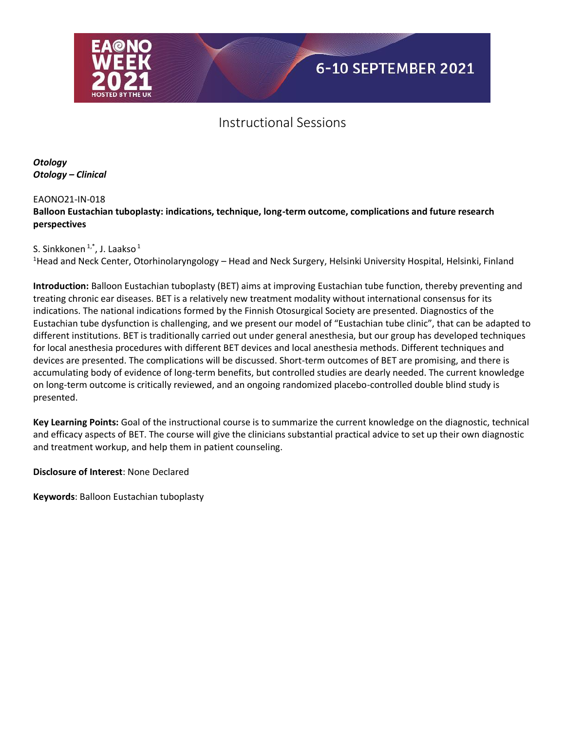

*Otology Otology – Clinical*

### EAONO21-IN-018

### **Balloon Eustachian tuboplasty: indications, technique, long-term outcome, complications and future research perspectives**

S. Sinkkonen<sup>1,\*</sup>, J. Laakso<sup>1</sup>

<sup>1</sup>Head and Neck Center, Otorhinolaryngology – Head and Neck Surgery, Helsinki University Hospital, Helsinki, Finland

**Introduction:** Balloon Eustachian tuboplasty (BET) aims at improving Eustachian tube function, thereby preventing and treating chronic ear diseases. BET is a relatively new treatment modality without international consensus for its indications. The national indications formed by the Finnish Otosurgical Society are presented. Diagnostics of the Eustachian tube dysfunction is challenging, and we present our model of "Eustachian tube clinic", that can be adapted to different institutions. BET is traditionally carried out under general anesthesia, but our group has developed techniques for local anesthesia procedures with different BET devices and local anesthesia methods. Different techniques and devices are presented. The complications will be discussed. Short-term outcomes of BET are promising, and there is accumulating body of evidence of long-term benefits, but controlled studies are dearly needed. The current knowledge on long-term outcome is critically reviewed, and an ongoing randomized placebo-controlled double blind study is presented.

**Key Learning Points:** Goal of the instructional course is to summarize the current knowledge on the diagnostic, technical and efficacy aspects of BET. The course will give the clinicians substantial practical advice to set up their own diagnostic and treatment workup, and help them in patient counseling.

**Disclosure of Interest**: None Declared

**Keywords**: Balloon Eustachian tuboplasty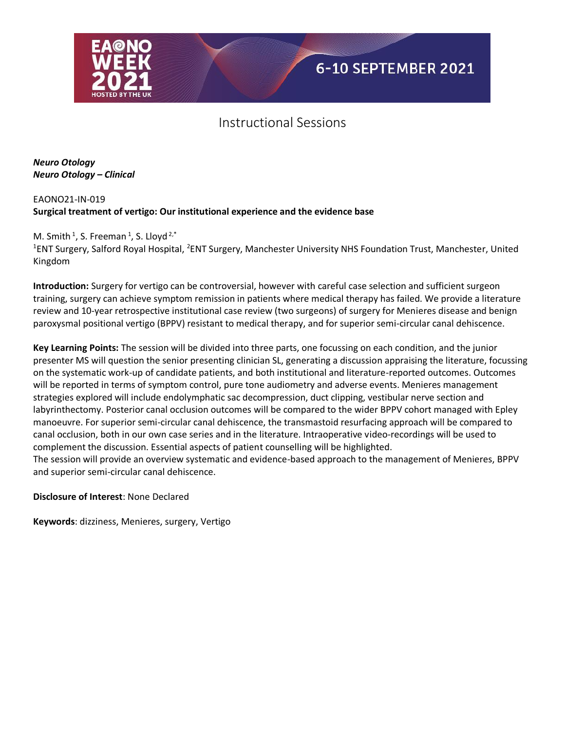

*Neuro Otology Neuro Otology – Clinical*

EAONO21-IN-019 **Surgical treatment of vertigo: Our institutional experience and the evidence base** 

## M. Smith  $1$ , S. Freeman  $1$ , S. Lloyd  $2$ , $*$

<sup>1</sup>ENT Surgery, Salford Royal Hospital, <sup>2</sup>ENT Surgery, Manchester University NHS Foundation Trust, Manchester, United Kingdom

**Introduction:** Surgery for vertigo can be controversial, however with careful case selection and sufficient surgeon training, surgery can achieve symptom remission in patients where medical therapy has failed. We provide a literature review and 10-year retrospective institutional case review (two surgeons) of surgery for Menieres disease and benign paroxysmal positional vertigo (BPPV) resistant to medical therapy, and for superior semi-circular canal dehiscence.

**Key Learning Points:** The session will be divided into three parts, one focussing on each condition, and the junior presenter MS will question the senior presenting clinician SL, generating a discussion appraising the literature, focussing on the systematic work-up of candidate patients, and both institutional and literature-reported outcomes. Outcomes will be reported in terms of symptom control, pure tone audiometry and adverse events. Menieres management strategies explored will include endolymphatic sac decompression, duct clipping, vestibular nerve section and labyrinthectomy. Posterior canal occlusion outcomes will be compared to the wider BPPV cohort managed with Epley manoeuvre. For superior semi-circular canal dehiscence, the transmastoid resurfacing approach will be compared to canal occlusion, both in our own case series and in the literature. Intraoperative video-recordings will be used to complement the discussion. Essential aspects of patient counselling will be highlighted.

The session will provide an overview systematic and evidence-based approach to the management of Menieres, BPPV and superior semi-circular canal dehiscence.

**Disclosure of Interest**: None Declared

**Keywords**: dizziness, Menieres, surgery, Vertigo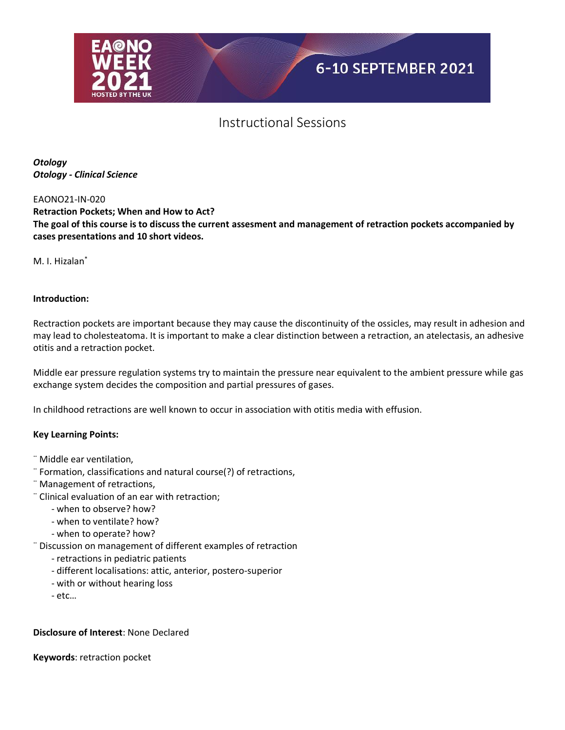

*Otology Otology - Clinical Science*

#### EAONO21-IN-020

**Retraction Pockets; When and How to Act? The goal of this course is to discuss the current assesment and management of retraction pockets accompanied by cases presentations and 10 short videos.**

M. I. Hizalan<sup>\*</sup>

#### **Introduction:**

Rectraction pockets are important because they may cause the discontinuity of the ossicles, may result in adhesion and may lead to cholesteatoma. It is important to make a clear distinction between a retraction, an atelectasis, an adhesive otitis and a retraction pocket.

Middle ear pressure regulation systems try to maintain the pressure near equivalent to the ambient pressure while gas exchange system decides the composition and partial pressures of gases.

In childhood retractions are well known to occur in association with otitis media with effusion.

#### **Key Learning Points:**

- ¨ Middle ear ventilation,
- ¨ Formation, classifications and natural course(?) of retractions,
- ¨ Management of retractions,
- ¨ Clinical evaluation of an ear with retraction;
	- when to observe? how?
	- when to ventilate? how?
	- when to operate? how?
- ¨ Discussion on management of different examples of retraction
	- retractions in pediatric patients
	- different localisations: attic, anterior, postero-superior
	- with or without hearing loss
	- etc…

#### **Disclosure of Interest**: None Declared

**Keywords**: retraction pocket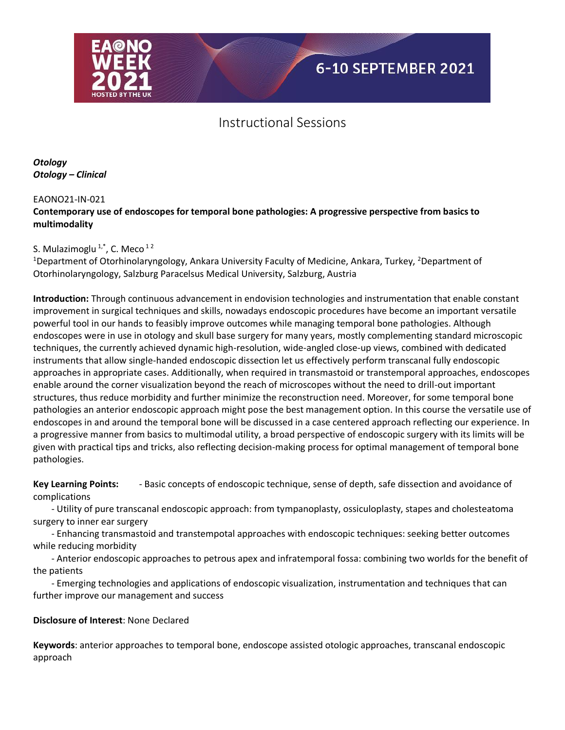

*Otology Otology – Clinical*

#### EAONO21-IN-021

### **Contemporary use of endoscopes for temporal bone pathologies: A progressive perspective from basics to multimodality**

## S. Mulazimoglu  $1, 1, 1$ , C. Meco  $12$

<sup>1</sup>Department of Otorhinolaryngology, Ankara University Faculty of Medicine, Ankara, Turkey, <sup>2</sup>Department of Otorhinolaryngology, Salzburg Paracelsus Medical University, Salzburg, Austria

**Introduction:** Through continuous advancement in endovision technologies and instrumentation that enable constant improvement in surgical techniques and skills, nowadays endoscopic procedures have become an important versatile powerful tool in our hands to feasibly improve outcomes while managing temporal bone pathologies. Although endoscopes were in use in otology and skull base surgery for many years, mostly complementing standard microscopic techniques, the currently achieved dynamic high-resolution, wide-angled close-up views, combined with dedicated instruments that allow single-handed endoscopic dissection let us effectively perform transcanal fully endoscopic approaches in appropriate cases. Additionally, when required in transmastoid or transtemporal approaches, endoscopes enable around the corner visualization beyond the reach of microscopes without the need to drill-out important structures, thus reduce morbidity and further minimize the reconstruction need. Moreover, for some temporal bone pathologies an anterior endoscopic approach might pose the best management option. In this course the versatile use of endoscopes in and around the temporal bone will be discussed in a case centered approach reflecting our experience. In a progressive manner from basics to multimodal utility, a broad perspective of endoscopic surgery with its limits will be given with practical tips and tricks, also reflecting decision-making process for optimal management of temporal bone pathologies.

**Key Learning Points:** - Basic concepts of endoscopic technique, sense of depth, safe dissection and avoidance of complications

 - Utility of pure transcanal endoscopic approach: from tympanoplasty, ossiculoplasty, stapes and cholesteatoma surgery to inner ear surgery

 - Enhancing transmastoid and transtempotal approaches with endoscopic techniques: seeking better outcomes while reducing morbidity

 - Anterior endoscopic approaches to petrous apex and infratemporal fossa: combining two worlds for the benefit of the patients

 - Emerging technologies and applications of endoscopic visualization, instrumentation and techniques that can further improve our management and success

### **Disclosure of Interest**: None Declared

**Keywords**: anterior approaches to temporal bone, endoscope assisted otologic approaches, transcanal endoscopic approach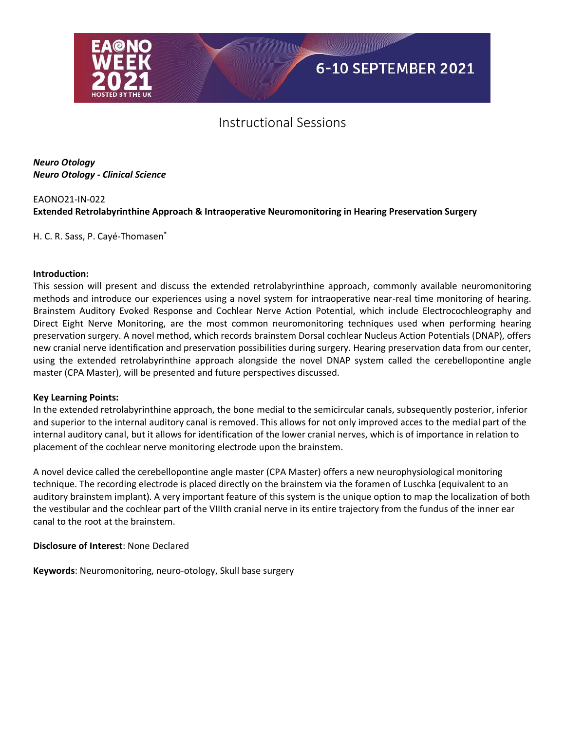

*Neuro Otology Neuro Otology - Clinical Science*

## EAONO21-IN-022 **Extended Retrolabyrinthine Approach & Intraoperative Neuromonitoring in Hearing Preservation Surgery**

H. C. R. Sass, P. Cayé-Thomasen<sup>\*</sup>

#### **Introduction:**

This session will present and discuss the extended retrolabyrinthine approach, commonly available neuromonitoring methods and introduce our experiences using a novel system for intraoperative near-real time monitoring of hearing. Brainstem Auditory Evoked Response and Cochlear Nerve Action Potential, which include Electrocochleography and Direct Eight Nerve Monitoring, are the most common neuromonitoring techniques used when performing hearing preservation surgery. A novel method, which records brainstem Dorsal cochlear Nucleus Action Potentials (DNAP), offers new cranial nerve identification and preservation possibilities during surgery. Hearing preservation data from our center, using the extended retrolabyrinthine approach alongside the novel DNAP system called the cerebellopontine angle master (CPA Master), will be presented and future perspectives discussed.

#### **Key Learning Points:**

In the extended retrolabyrinthine approach, the bone medial to the semicircular canals, subsequently posterior, inferior and superior to the internal auditory canal is removed. This allows for not only improved acces to the medial part of the internal auditory canal, but it allows for identification of the lower cranial nerves, which is of importance in relation to placement of the cochlear nerve monitoring electrode upon the brainstem.

A novel device called the cerebellopontine angle master (CPA Master) offers a new neurophysiological monitoring technique. The recording electrode is placed directly on the brainstem via the foramen of Luschka (equivalent to an auditory brainstem implant). A very important feature of this system is the unique option to map the localization of both the vestibular and the cochlear part of the VIIIth cranial nerve in its entire trajectory from the fundus of the inner ear canal to the root at the brainstem.

**Disclosure of Interest**: None Declared

**Keywords**: Neuromonitoring, neuro-otology, Skull base surgery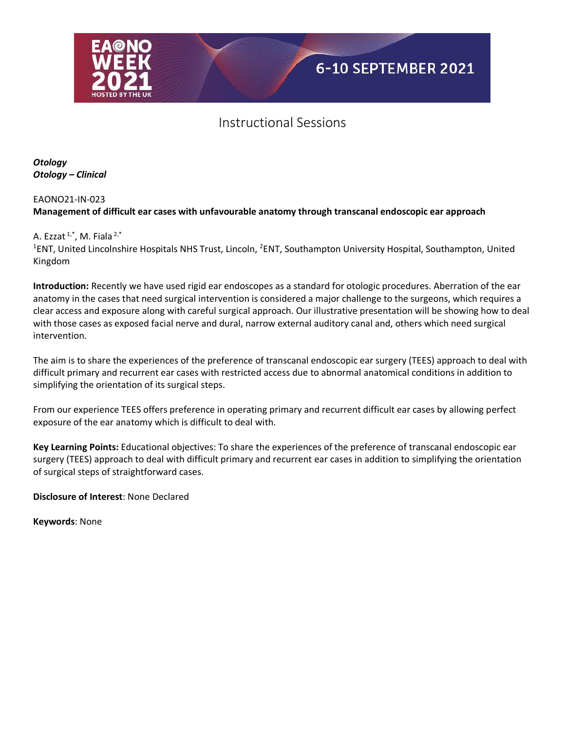

*Otology Otology – Clinical*

## EAONO21-IN-023 **Management of difficult ear cases with unfavourable anatomy through transcanal endoscopic ear approach**

### A. Ezzat  $1, 1, 1$ , M. Fiala  $2, 1$

<sup>1</sup>ENT, United Lincolnshire Hospitals NHS Trust, Lincoln, <sup>2</sup>ENT, Southampton University Hospital, Southampton, United Kingdom

**Introduction:** Recently we have used rigid ear endoscopes as a standard for otologic procedures. Aberration of the ear anatomy in the cases that need surgical intervention is considered a major challenge to the surgeons, which requires a clear access and exposure along with careful surgical approach. Our illustrative presentation will be showing how to deal with those cases as exposed facial nerve and dural, narrow external auditory canal and, others which need surgical intervention.

The aim is to share the experiences of the preference of transcanal endoscopic ear surgery (TEES) approach to deal with difficult primary and recurrent ear cases with restricted access due to abnormal anatomical conditions in addition to simplifying the orientation of its surgical steps.

From our experience TEES offers preference in operating primary and recurrent difficult ear cases by allowing perfect exposure of the ear anatomy which is difficult to deal with.

**Key Learning Points:** Educational objectives: To share the experiences of the preference of transcanal endoscopic ear surgery (TEES) approach to deal with difficult primary and recurrent ear cases in addition to simplifying the orientation of surgical steps of straightforward cases.

**Disclosure of Interest**: None Declared

**Keywords**: None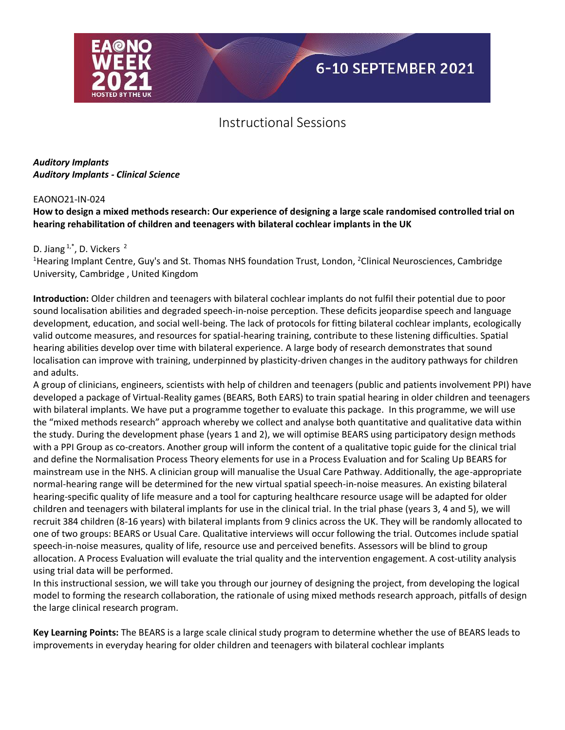

*Auditory Implants Auditory Implants - Clinical Science*

#### EAONO21-IN-024

### **How to design a mixed methods research: Our experience of designing a large scale randomised controlled trial on hearing rehabilitation of children and teenagers with bilateral cochlear implants in the UK**

#### D. Jiang  $1, 1$ <sup>\*</sup>, D. Vickers  $2$

<sup>1</sup>Hearing Implant Centre, Guy's and St. Thomas NHS foundation Trust, London, <sup>2</sup>Clinical Neurosciences, Cambridge University, Cambridge , United Kingdom

**Introduction:** Older children and teenagers with bilateral cochlear implants do not fulfil their potential due to poor sound localisation abilities and degraded speech-in-noise perception. These deficits jeopardise speech and language development, education, and social well-being. The lack of protocols for fitting bilateral cochlear implants, ecologically valid outcome measures, and resources for spatial-hearing training, contribute to these listening difficulties. Spatial hearing abilities develop over time with bilateral experience. A large body of research demonstrates that sound localisation can improve with training, underpinned by plasticity-driven changes in the auditory pathways for children and adults.

A group of clinicians, engineers, scientists with help of children and teenagers (public and patients involvement PPI) have developed a package of Virtual-Reality games (BEARS, Both EARS) to train spatial hearing in older children and teenagers with bilateral implants. We have put a programme together to evaluate this package. In this programme, we will use the "mixed methods research" approach whereby we collect and analyse both quantitative and qualitative data within the study. During the development phase (years 1 and 2), we will optimise BEARS using participatory design methods with a PPI Group as co-creators. Another group will inform the content of a qualitative topic guide for the clinical trial and define the Normalisation Process Theory elements for use in a Process Evaluation and for Scaling Up BEARS for mainstream use in the NHS. A clinician group will manualise the Usual Care Pathway. Additionally, the age-appropriate normal-hearing range will be determined for the new virtual spatial speech-in-noise measures. An existing bilateral hearing-specific quality of life measure and a tool for capturing healthcare resource usage will be adapted for older children and teenagers with bilateral implants for use in the clinical trial. In the trial phase (years 3, 4 and 5), we will recruit 384 children (8-16 years) with bilateral implants from 9 clinics across the UK. They will be randomly allocated to one of two groups: BEARS or Usual Care. Qualitative interviews will occur following the trial. Outcomes include spatial speech-in-noise measures, quality of life, resource use and perceived benefits. Assessors will be blind to group allocation. A Process Evaluation will evaluate the trial quality and the intervention engagement. A cost-utility analysis using trial data will be performed.

In this instructional session, we will take you through our journey of designing the project, from developing the logical model to forming the research collaboration, the rationale of using mixed methods research approach, pitfalls of design the large clinical research program.

**Key Learning Points:** The BEARS is a large scale clinical study program to determine whether the use of BEARS leads to improvements in everyday hearing for older children and teenagers with bilateral cochlear implants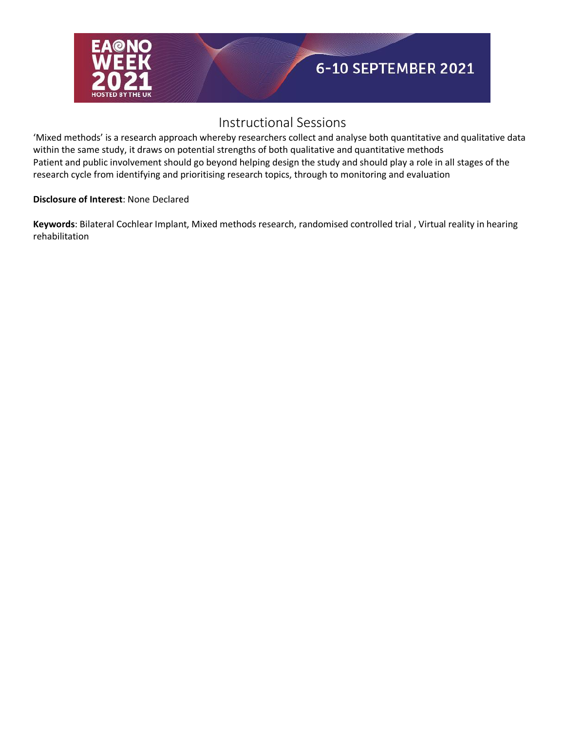

'Mixed methods' is a research approach whereby researchers collect and analyse both quantitative and qualitative data within the same study, it draws on potential strengths of both qualitative and quantitative methods Patient and public involvement should go beyond helping design the study and should play a role in all stages of the research cycle from identifying and prioritising research topics, through to monitoring and evaluation

### **Disclosure of Interest**: None Declared

**Keywords**: Bilateral Cochlear Implant, Mixed methods research, randomised controlled trial , Virtual reality in hearing rehabilitation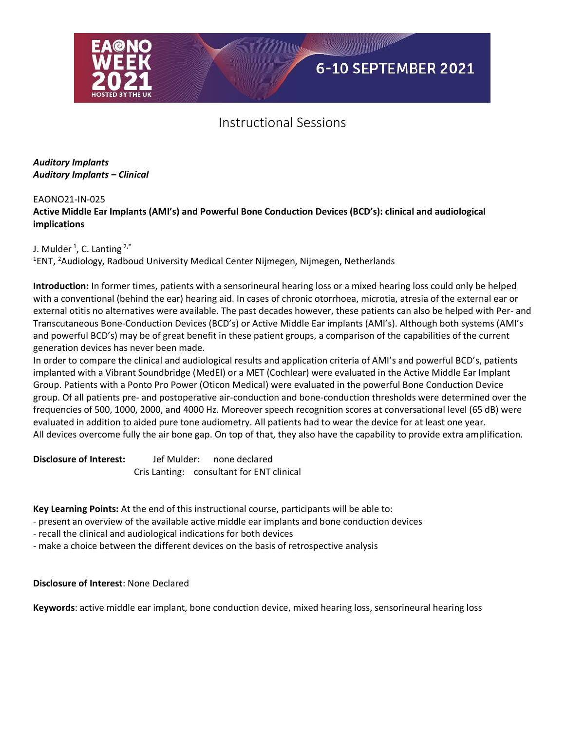

### *Auditory Implants Auditory Implants – Clinical*

### EAONO21-IN-025

### **Active Middle Ear Implants (AMI's) and Powerful Bone Conduction Devices (BCD's): clinical and audiological implications**

J. Mulder  $^1$ , C. Lanting  $^{2,*}$ 

<sup>1</sup>ENT, <sup>2</sup>Audiology, Radboud University Medical Center Nijmegen, Nijmegen, Netherlands

**Introduction:** In former times, patients with a sensorineural hearing loss or a mixed hearing loss could only be helped with a conventional (behind the ear) hearing aid. In cases of chronic otorrhoea, microtia, atresia of the external ear or external otitis no alternatives were available. The past decades however, these patients can also be helped with Per- and Transcutaneous Bone-Conduction Devices (BCD's) or Active Middle Ear implants (AMI's). Although both systems (AMI's and powerful BCD's) may be of great benefit in these patient groups, a comparison of the capabilities of the current generation devices has never been made.

In order to compare the clinical and audiological results and application criteria of AMI's and powerful BCD's, patients implanted with a Vibrant Soundbridge (MedEl) or a MET (Cochlear) were evaluated in the Active Middle Ear Implant Group. Patients with a Ponto Pro Power (Oticon Medical) were evaluated in the powerful Bone Conduction Device group. Of all patients pre- and postoperative air-conduction and bone-conduction thresholds were determined over the frequencies of 500, 1000, 2000, and 4000 Hz. Moreover speech recognition scores at conversational level (65 dB) were evaluated in addition to aided pure tone audiometry. All patients had to wear the device for at least one year. All devices overcome fully the air bone gap. On top of that, they also have the capability to provide extra amplification.

**Disclosure of Interest:** Jef Mulder: none declared Cris Lanting: consultant for ENT clinical

**Key Learning Points:** At the end of this instructional course, participants will be able to:

- present an overview of the available active middle ear implants and bone conduction devices

- recall the clinical and audiological indications for both devices

- make a choice between the different devices on the basis of retrospective analysis

### **Disclosure of Interest**: None Declared

**Keywords**: active middle ear implant, bone conduction device, mixed hearing loss, sensorineural hearing loss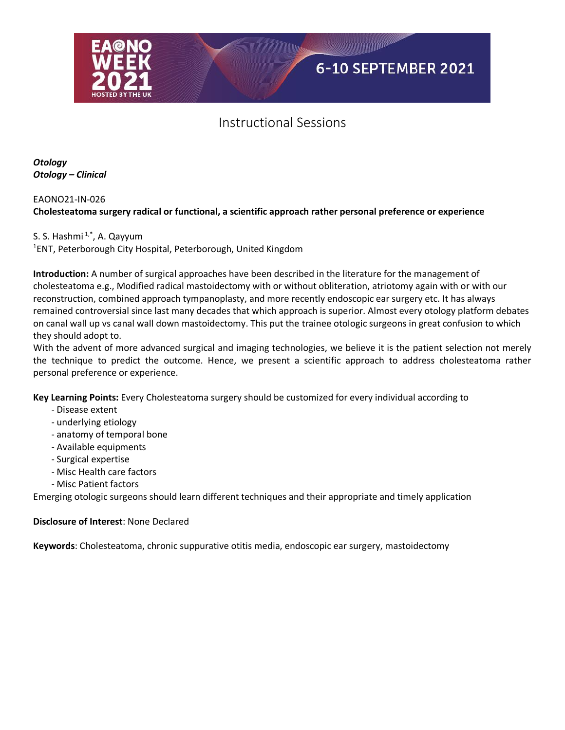

*Otology Otology – Clinical*

## EAONO21-IN-026 **Cholesteatoma surgery radical or functional, a scientific approach rather personal preference or experience**

### S. S. Hashmi $1, 1^*$ , A. Qayyum

1 ENT, Peterborough City Hospital, Peterborough, United Kingdom

**Introduction:** A number of surgical approaches have been described in the literature for the management of cholesteatoma e.g., Modified radical mastoidectomy with or without obliteration, atriotomy again with or with our reconstruction, combined approach tympanoplasty, and more recently endoscopic ear surgery etc. It has always remained controversial since last many decades that which approach is superior. Almost every otology platform debates on canal wall up vs canal wall down mastoidectomy. This put the trainee otologic surgeons in great confusion to which they should adopt to.

With the advent of more advanced surgical and imaging technologies, we believe it is the patient selection not merely the technique to predict the outcome. Hence, we present a scientific approach to address cholesteatoma rather personal preference or experience.

**Key Learning Points:** Every Cholesteatoma surgery should be customized for every individual according to

- Disease extent
- underlying etiology
- anatomy of temporal bone
- Available equipments
- Surgical expertise
- Misc Health care factors
- Misc Patient factors

Emerging otologic surgeons should learn different techniques and their appropriate and timely application

### **Disclosure of Interest**: None Declared

**Keywords**: Cholesteatoma, chronic suppurative otitis media, endoscopic ear surgery, mastoidectomy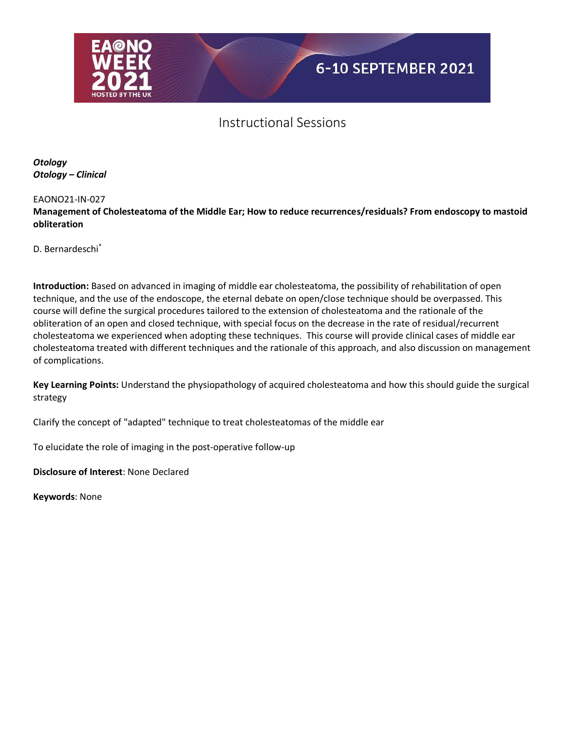

*Otology Otology – Clinical*

#### EAONO21-IN-027

**Management of Cholesteatoma of the Middle Ear; How to reduce recurrences/residuals? From endoscopy to mastoid obliteration**

D. Bernardeschi\*

**Introduction:** Based on advanced in imaging of middle ear cholesteatoma, the possibility of rehabilitation of open technique, and the use of the endoscope, the eternal debate on open/close technique should be overpassed. This course will define the surgical procedures tailored to the extension of cholesteatoma and the rationale of the obliteration of an open and closed technique, with special focus on the decrease in the rate of residual/recurrent cholesteatoma we experienced when adopting these techniques. This course will provide clinical cases of middle ear cholesteatoma treated with different techniques and the rationale of this approach, and also discussion on management of complications.

**Key Learning Points:** Understand the physiopathology of acquired cholesteatoma and how this should guide the surgical strategy

Clarify the concept of "adapted" technique to treat cholesteatomas of the middle ear

To elucidate the role of imaging in the post-operative follow-up

**Disclosure of Interest**: None Declared

**Keywords**: None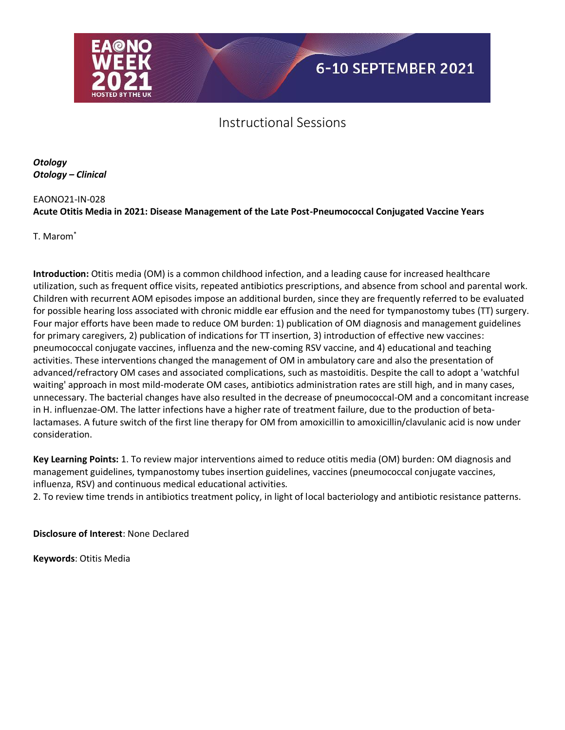

*Otology Otology – Clinical*

## EAONO21-IN-028 **Acute Otitis Media in 2021: Disease Management of the Late Post-Pneumococcal Conjugated Vaccine Years**

T. Marom\*

**Introduction:** Otitis media (OM) is a common childhood infection, and a leading cause for increased healthcare utilization, such as frequent office visits, repeated antibiotics prescriptions, and absence from school and parental work. Children with recurrent AOM episodes impose an additional burden, since they are frequently referred to be evaluated for possible hearing loss associated with chronic middle ear effusion and the need for tympanostomy tubes (TT) surgery. Four major efforts have been made to reduce OM burden: 1) publication of OM diagnosis and management guidelines for primary caregivers, 2) publication of indications for TT insertion, 3) introduction of effective new vaccines: pneumococcal conjugate vaccines, influenza and the new-coming RSV vaccine, and 4) educational and teaching activities. These interventions changed the management of OM in ambulatory care and also the presentation of advanced/refractory OM cases and associated complications, such as mastoiditis. Despite the call to adopt a 'watchful waiting' approach in most mild-moderate OM cases, antibiotics administration rates are still high, and in many cases, unnecessary. The bacterial changes have also resulted in the decrease of pneumococcal-OM and a concomitant increase in H. influenzae-OM. The latter infections have a higher rate of treatment failure, due to the production of betalactamases. A future switch of the first line therapy for OM from amoxicillin to amoxicillin/clavulanic acid is now under consideration.

**Key Learning Points:** 1. To review major interventions aimed to reduce otitis media (OM) burden: OM diagnosis and management guidelines, tympanostomy tubes insertion guidelines, vaccines (pneumococcal conjugate vaccines, influenza, RSV) and continuous medical educational activities.

2. To review time trends in antibiotics treatment policy, in light of local bacteriology and antibiotic resistance patterns.

**Disclosure of Interest**: None Declared

**Keywords**: Otitis Media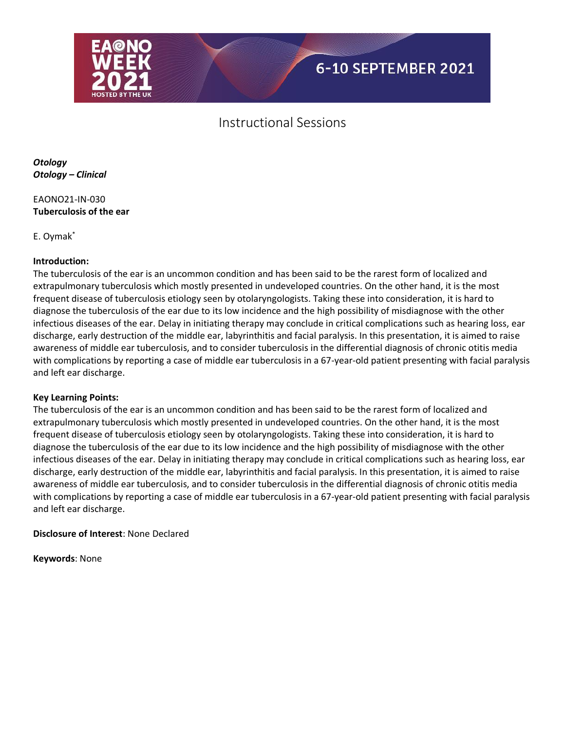

*Otology Otology – Clinical*

EAONO21-IN-030 **Tuberculosis of the ear** 

E. Oymak\*

### **Introduction:**

The tuberculosis of the ear is an uncommon condition and has been said to be the rarest form of localized and extrapulmonary tuberculosis which mostly presented in undeveloped countries. On the other hand, it is the most frequent disease of tuberculosis etiology seen by otolaryngologists. Taking these into consideration, it is hard to diagnose the tuberculosis of the ear due to its low incidence and the high possibility of misdiagnose with the other infectious diseases of the ear. Delay in initiating therapy may conclude in critical complications such as hearing loss, ear discharge, early destruction of the middle ear, labyrinthitis and facial paralysis. In this presentation, it is aimed to raise awareness of middle ear tuberculosis, and to consider tuberculosis in the differential diagnosis of chronic otitis media with complications by reporting a case of middle ear tuberculosis in a 67-year-old patient presenting with facial paralysis and left ear discharge.

#### **Key Learning Points:**

The tuberculosis of the ear is an uncommon condition and has been said to be the rarest form of localized and extrapulmonary tuberculosis which mostly presented in undeveloped countries. On the other hand, it is the most frequent disease of tuberculosis etiology seen by otolaryngologists. Taking these into consideration, it is hard to diagnose the tuberculosis of the ear due to its low incidence and the high possibility of misdiagnose with the other infectious diseases of the ear. Delay in initiating therapy may conclude in critical complications such as hearing loss, ear discharge, early destruction of the middle ear, labyrinthitis and facial paralysis. In this presentation, it is aimed to raise awareness of middle ear tuberculosis, and to consider tuberculosis in the differential diagnosis of chronic otitis media with complications by reporting a case of middle ear tuberculosis in a 67-year-old patient presenting with facial paralysis and left ear discharge.

**Disclosure of Interest**: None Declared

**Keywords**: None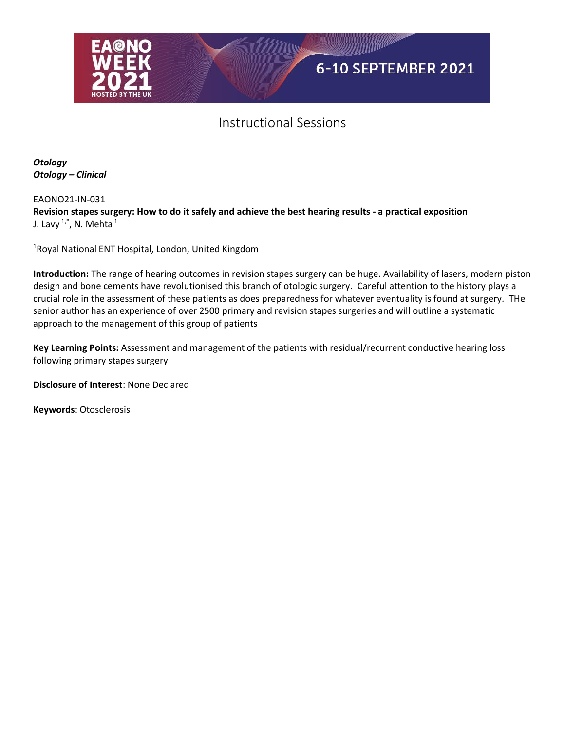

*Otology Otology – Clinical*

EAONO21-IN-031 **Revision stapes surgery: How to do it safely and achieve the best hearing results - a practical exposition** J. Lavy  $1, x^*$ , N. Mehta  $1$ 

<sup>1</sup>Royal National ENT Hospital, London, United Kingdom

**Introduction:** The range of hearing outcomes in revision stapes surgery can be huge. Availability of lasers, modern piston design and bone cements have revolutionised this branch of otologic surgery. Careful attention to the history plays a crucial role in the assessment of these patients as does preparedness for whatever eventuality is found at surgery. THe senior author has an experience of over 2500 primary and revision stapes surgeries and will outline a systematic approach to the management of this group of patients

**Key Learning Points:** Assessment and management of the patients with residual/recurrent conductive hearing loss following primary stapes surgery

**Disclosure of Interest**: None Declared

**Keywords**: Otosclerosis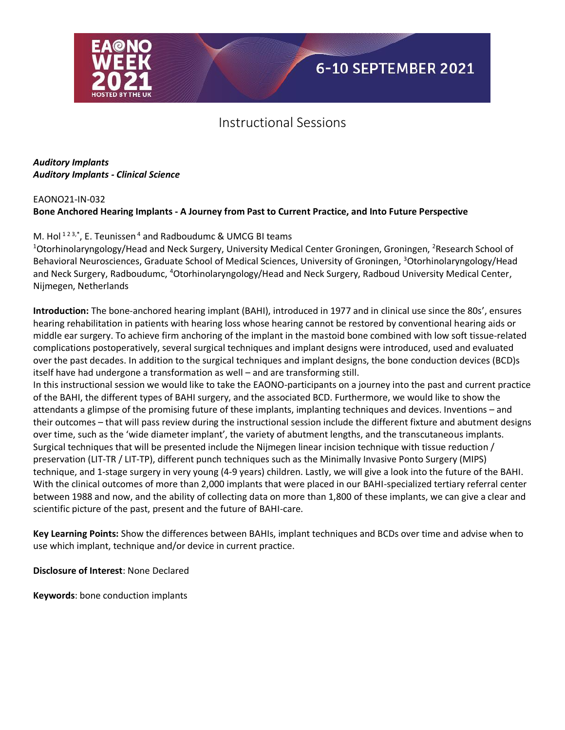

### *Auditory Implants Auditory Implants - Clinical Science*

#### EAONO21-IN-032

## **Bone Anchored Hearing Implants - A Journey from Past to Current Practice, and Into Future Perspective**

### M. Hol  $^{123,*}$ , E. Teunissen <sup>4</sup> and Radboudumc & UMCG BI teams

<sup>1</sup>Otorhinolaryngology/Head and Neck Surgery, University Medical Center Groningen, Groningen, <sup>2</sup>Research School of Behavioral Neurosciences, Graduate School of Medical Sciences, University of Groningen, <sup>3</sup>Otorhinolaryngology/Head and Neck Surgery, Radboudumc, <sup>4</sup>Otorhinolaryngology/Head and Neck Surgery, Radboud University Medical Center, Nijmegen, Netherlands

**Introduction:** The bone-anchored hearing implant (BAHI), introduced in 1977 and in clinical use since the 80s', ensures hearing rehabilitation in patients with hearing loss whose hearing cannot be restored by conventional hearing aids or middle ear surgery. To achieve firm anchoring of the implant in the mastoid bone combined with low soft tissue-related complications postoperatively, several surgical techniques and implant designs were introduced, used and evaluated over the past decades. In addition to the surgical techniques and implant designs, the bone conduction devices (BCD)s itself have had undergone a transformation as well – and are transforming still.

In this instructional session we would like to take the EAONO-participants on a journey into the past and current practice of the BAHI, the different types of BAHI surgery, and the associated BCD. Furthermore, we would like to show the attendants a glimpse of the promising future of these implants, implanting techniques and devices. Inventions – and their outcomes – that will pass review during the instructional session include the different fixture and abutment designs over time, such as the 'wide diameter implant', the variety of abutment lengths, and the transcutaneous implants. Surgical techniques that will be presented include the Nijmegen linear incision technique with tissue reduction / preservation (LIT-TR / LIT-TP), different punch techniques such as the Minimally Invasive Ponto Surgery (MIPS) technique, and 1-stage surgery in very young (4-9 years) children. Lastly, we will give a look into the future of the BAHI. With the clinical outcomes of more than 2,000 implants that were placed in our BAHI-specialized tertiary referral center between 1988 and now, and the ability of collecting data on more than 1,800 of these implants, we can give a clear and scientific picture of the past, present and the future of BAHI-care.

**Key Learning Points:** Show the differences between BAHIs, implant techniques and BCDs over time and advise when to use which implant, technique and/or device in current practice.

**Disclosure of Interest**: None Declared

**Keywords**: bone conduction implants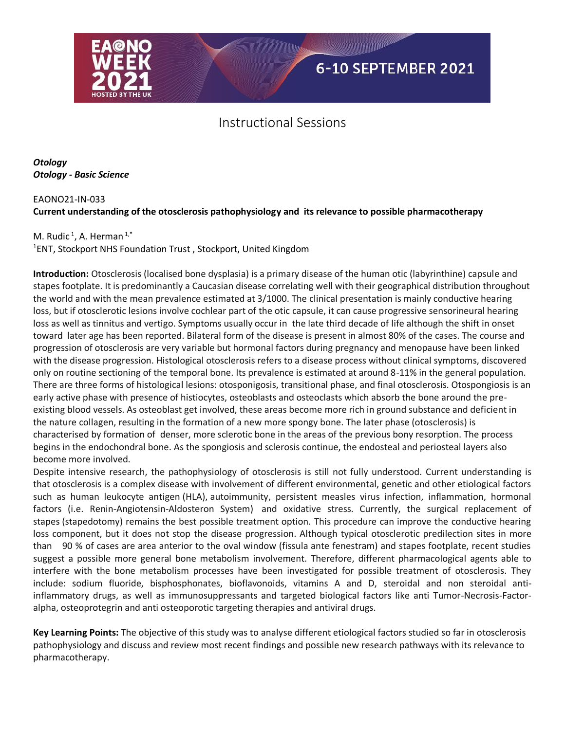

*Otology Otology - Basic Science*

## EAONO21-IN-033 **Current understanding of the otosclerosis pathophysiology and its relevance to possible pharmacotherapy**

## M. Rudic<sup>1</sup>, A. Herman<sup>1,\*</sup>

1 ENT, Stockport NHS Foundation Trust , Stockport, United Kingdom

**Introduction:** Otosclerosis (localised bone dysplasia) is a primary disease of the human otic (labyrinthine) capsule and stapes footplate. It is predominantly a Caucasian disease correlating well with their geographical distribution throughout the world and with the mean prevalence estimated at 3/1000. The clinical presentation is mainly conductive hearing loss, but if otosclerotic lesions involve cochlear part of the otic capsule, it can cause progressive sensorineural hearing loss as well as tinnitus and vertigo. Symptoms usually occur in the late third decade of life although the shift in onset toward later age has been reported. Bilateral form of the disease is present in almost 80% of the cases. The course and progression of otosclerosis are very variable but hormonal factors during pregnancy and menopause have been linked with the disease progression. Histological otosclerosis refers to a disease process without clinical symptoms, discovered only on routine sectioning of the temporal bone. Its prevalence is estimated at around 8-11% in the general population. There are three forms of histological lesions: otosponigosis, transitional phase, and final otosclerosis. Otospongiosis is an early active phase with presence of histiocytes, osteoblasts and osteoclasts which absorb the bone around the preexisting blood vessels. As osteoblast get involved, these areas become more rich in ground substance and deficient in the nature collagen, resulting in the formation of a new more spongy bone. The later phase (otosclerosis) is characterised by formation of denser, more sclerotic bone in the areas of the previous bony resorption. The process begins in the endochondral bone. As the spongiosis and sclerosis continue, the endosteal and periosteal layers also become more involved.

Despite intensive research, the pathophysiology of otosclerosis is still not fully understood. Current understanding is that otosclerosis is a complex disease with involvement of different environmental, genetic and other etiological factors such as human leukocyte antigen (HLA), autoimmunity, persistent measles virus infection, inflammation, hormonal factors (i.e. Renin-Angiotensin-Aldosteron System) and oxidative stress. Currently, the surgical replacement of stapes (stapedotomy) remains the best possible treatment option. This procedure can improve the conductive hearing loss component, but it does not stop the disease progression. Although typical otosclerotic predilection sites in more than 90 % of cases are area anterior to the oval window (fissula ante fenestram) and stapes footplate, recent studies suggest a possible more general bone metabolism involvement. Therefore, different pharmacological agents able to interfere with the bone metabolism processes have been investigated for possible treatment of otosclerosis. They include: sodium fluoride, bisphosphonates, bioflavonoids, vitamins A and D, steroidal and non steroidal antiinflammatory drugs, as well as immunosuppressants and targeted biological factors like anti Tumor-Necrosis-Factoralpha, osteoprotegrin and anti osteoporotic targeting therapies and antiviral drugs.

**Key Learning Points:** The objective of this study was to analyse different etiological factors studied so far in otosclerosis pathophysiology and discuss and review most recent findings and possible new research pathways with its relevance to pharmacotherapy.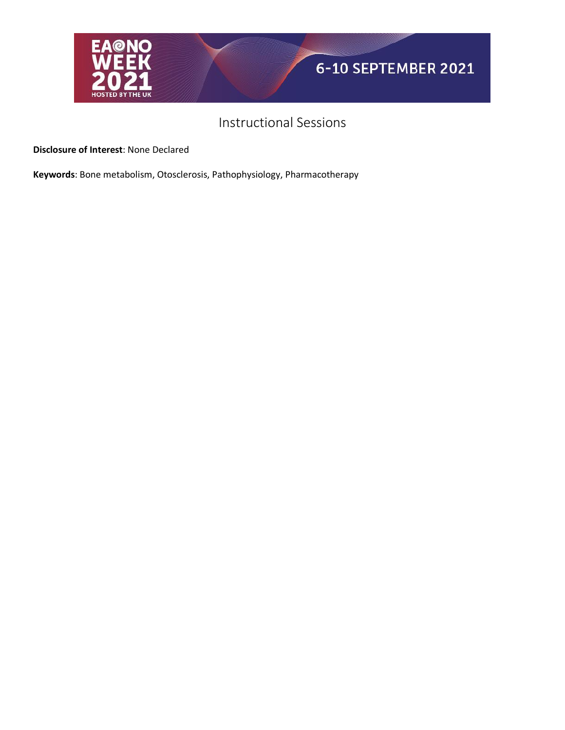

**Disclosure of Interest**: None Declared

**Keywords**: Bone metabolism, Otosclerosis, Pathophysiology, Pharmacotherapy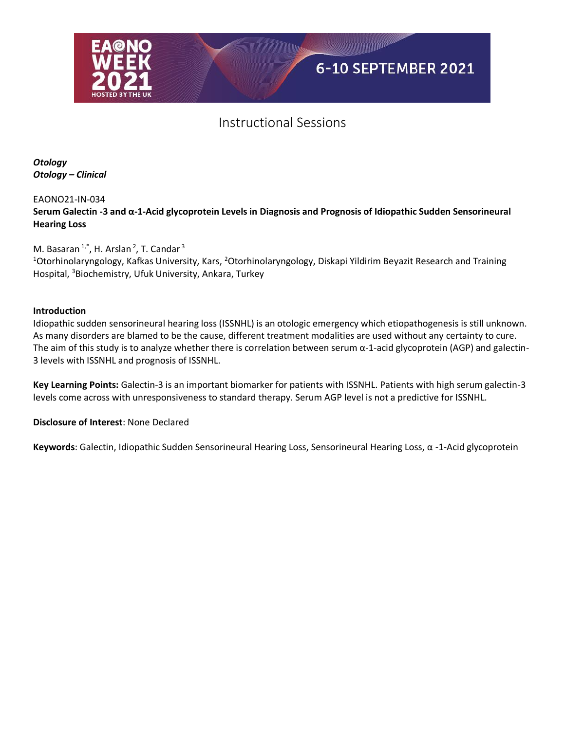

*Otology Otology – Clinical*

### EAONO21-IN-034

**Serum Galectin -3 and α-1-Acid glycoprotein Levels in Diagnosis and Prognosis of Idiopathic Sudden Sensorineural Hearing Loss**

M. Basaran  $1^*$ , H. Arslan  $^2$ , T. Candar  $^3$ 

<sup>1</sup>Otorhinolaryngology, Kafkas University, Kars, <sup>2</sup>Otorhinolaryngology, Diskapi Yildirim Beyazit Research and Training Hospital, <sup>3</sup>Biochemistry, Ufuk University, Ankara, Turkey

### **Introduction**

Idiopathic sudden sensorineural hearing loss (ISSNHL) is an otologic emergency which etiopathogenesis is still unknown. As many disorders are blamed to be the cause, different treatment modalities are used without any certainty to cure. The aim of this study is to analyze whether there is correlation between serum  $\alpha$ -1-acid glycoprotein (AGP) and galectin-3 levels with ISSNHL and prognosis of ISSNHL.

**Key Learning Points:** Galectin-3 is an important biomarker for patients with ISSNHL. Patients with high serum galectin-3 levels come across with unresponsiveness to standard therapy. Serum AGP level is not a predictive for ISSNHL.

**Disclosure of Interest**: None Declared

**Keywords**: Galectin, Idiopathic Sudden Sensorineural Hearing Loss, Sensorineural Hearing Loss, α -1-Acid glycoprotein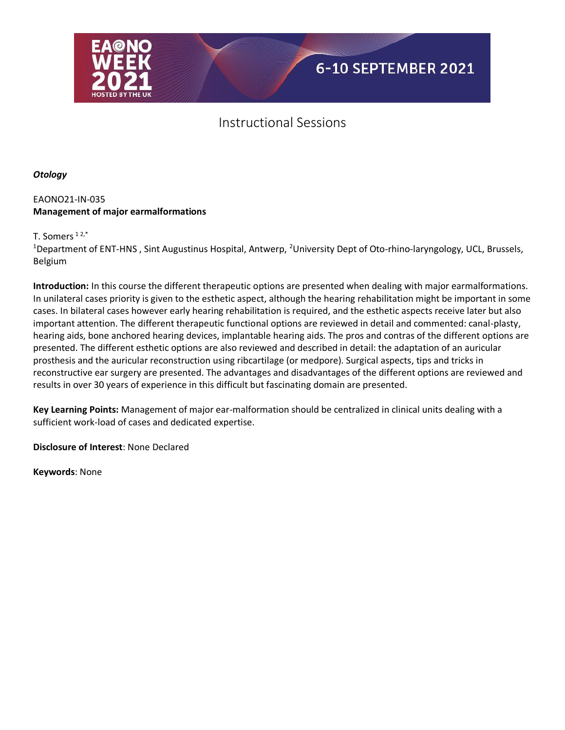

*Otology*

### EAONO21-IN-035 **Management of major earmalformations**

T. Somers  $12,*$ 

<sup>1</sup>Department of ENT-HNS, Sint Augustinus Hospital, Antwerp, <sup>2</sup>University Dept of Oto-rhino-laryngology, UCL, Brussels, Belgium

**Introduction:** In this course the different therapeutic options are presented when dealing with major earmalformations. In unilateral cases priority is given to the esthetic aspect, although the hearing rehabilitation might be important in some cases. In bilateral cases however early hearing rehabilitation is required, and the esthetic aspects receive later but also important attention. The different therapeutic functional options are reviewed in detail and commented: canal-plasty, hearing aids, bone anchored hearing devices, implantable hearing aids. The pros and contras of the different options are presented. The different esthetic options are also reviewed and described in detail: the adaptation of an auricular prosthesis and the auricular reconstruction using ribcartilage (or medpore). Surgical aspects, tips and tricks in reconstructive ear surgery are presented. The advantages and disadvantages of the different options are reviewed and results in over 30 years of experience in this difficult but fascinating domain are presented.

**Key Learning Points:** Management of major ear-malformation should be centralized in clinical units dealing with a sufficient work-load of cases and dedicated expertise.

**Disclosure of Interest**: None Declared

**Keywords**: None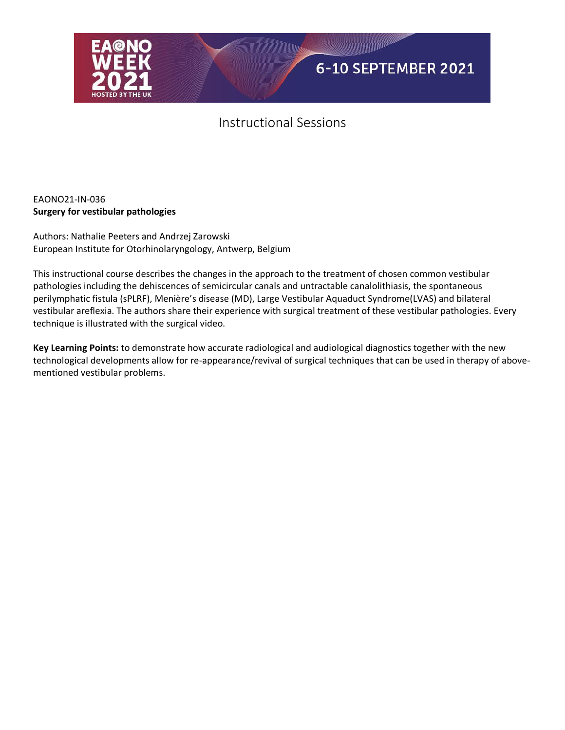

### EAONO21-IN-036 **Surgery for vestibular pathologies**

Authors: Nathalie Peeters and Andrzej Zarowski European Institute for Otorhinolaryngology, Antwerp, Belgium

This instructional course describes the changes in the approach to the treatment of chosen common vestibular pathologies including the dehiscences of semicircular canals and untractable canalolithiasis, the spontaneous perilymphatic fistula (sPLRF), Menière's disease (MD), Large Vestibular Aquaduct Syndrome(LVAS) and bilateral vestibular areflexia. The authors share their experience with surgical treatment of these vestibular pathologies. Every technique is illustrated with the surgical video.

**Key Learning Points:** to demonstrate how accurate radiological and audiological diagnostics together with the new technological developments allow for re-appearance/revival of surgical techniques that can be used in therapy of abovementioned vestibular problems.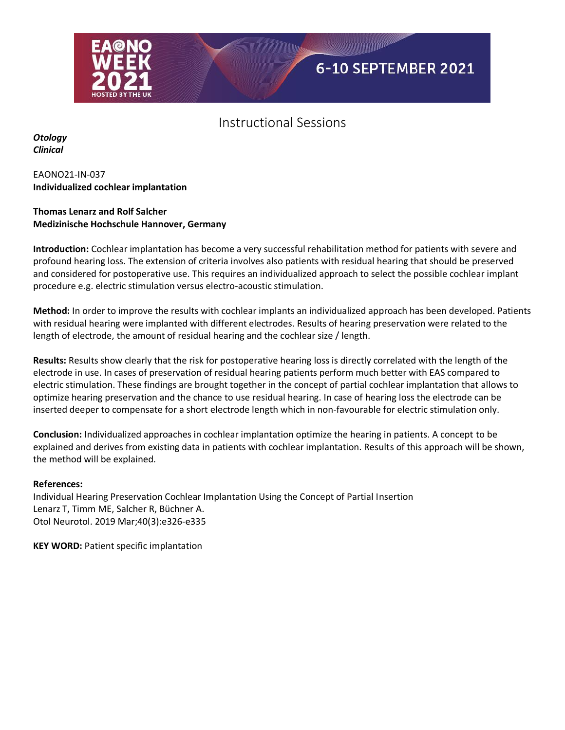

*Otology Clinical*

### EAONO21-IN-037 **Individualized cochlear implantation**

### **Thomas Lenarz and Rolf Salcher Medizinische Hochschule Hannover, Germany**

**Introduction:** Cochlear implantation has become a very successful rehabilitation method for patients with severe and profound hearing loss. The extension of criteria involves also patients with residual hearing that should be preserved and considered for postoperative use. This requires an individualized approach to select the possible cochlear implant procedure e.g. electric stimulation versus electro-acoustic stimulation.

**Method:** In order to improve the results with cochlear implants an individualized approach has been developed. Patients with residual hearing were implanted with different electrodes. Results of hearing preservation were related to the length of electrode, the amount of residual hearing and the cochlear size / length.

**Results:** Results show clearly that the risk for postoperative hearing loss is directly correlated with the length of the electrode in use. In cases of preservation of residual hearing patients perform much better with EAS compared to electric stimulation. These findings are brought together in the concept of partial cochlear implantation that allows to optimize hearing preservation and the chance to use residual hearing. In case of hearing loss the electrode can be inserted deeper to compensate for a short electrode length which in non-favourable for electric stimulation only.

**Conclusion:** Individualized approaches in cochlear implantation optimize the hearing in patients. A concept to be explained and derives from existing data in patients with cochlear implantation. Results of this approach will be shown, the method will be explained.

#### **References:**

Individual Hearing Preservation Cochlear Implantation Using the Concept of Partial Insertion Lenarz T, Timm ME, Salcher R, Büchner A. Otol Neurotol. 2019 Mar;40(3):e326-e335

**KEY WORD:** Patient specific implantation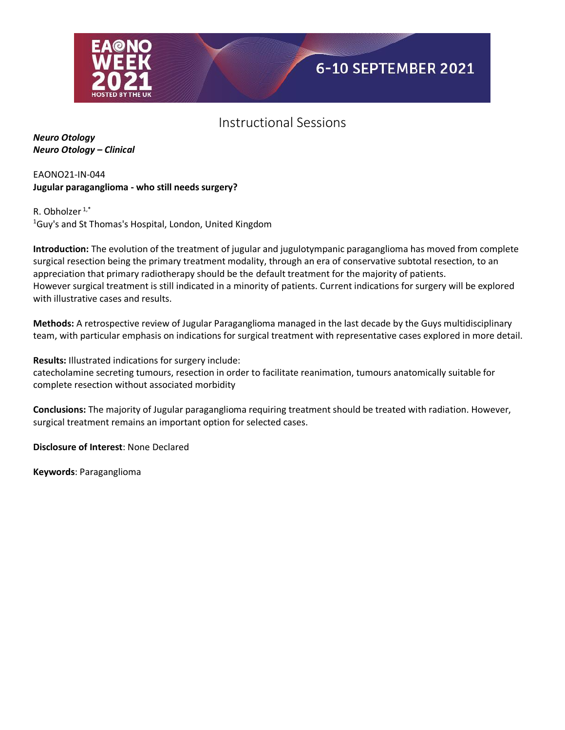

*Neuro Otology Neuro Otology – Clinical*

### EAONO21-IN-044 **Jugular paraganglioma - who still needs surgery?**

R. Obholzer  $1, *$ <sup>1</sup>Guy's and St Thomas's Hospital, London, United Kingdom

**Introduction:** The evolution of the treatment of jugular and jugulotympanic paraganglioma has moved from complete surgical resection being the primary treatment modality, through an era of conservative subtotal resection, to an appreciation that primary radiotherapy should be the default treatment for the majority of patients. However surgical treatment is still indicated in a minority of patients. Current indications for surgery will be explored with illustrative cases and results.

**Methods:** A retrospective review of Jugular Paraganglioma managed in the last decade by the Guys multidisciplinary team, with particular emphasis on indications for surgical treatment with representative cases explored in more detail.

**Results:** Illustrated indications for surgery include: catecholamine secreting tumours, resection in order to facilitate reanimation, tumours anatomically suitable for complete resection without associated morbidity

**Conclusions:** The majority of Jugular paraganglioma requiring treatment should be treated with radiation. However, surgical treatment remains an important option for selected cases.

**Disclosure of Interest**: None Declared

**Keywords**: Paraganglioma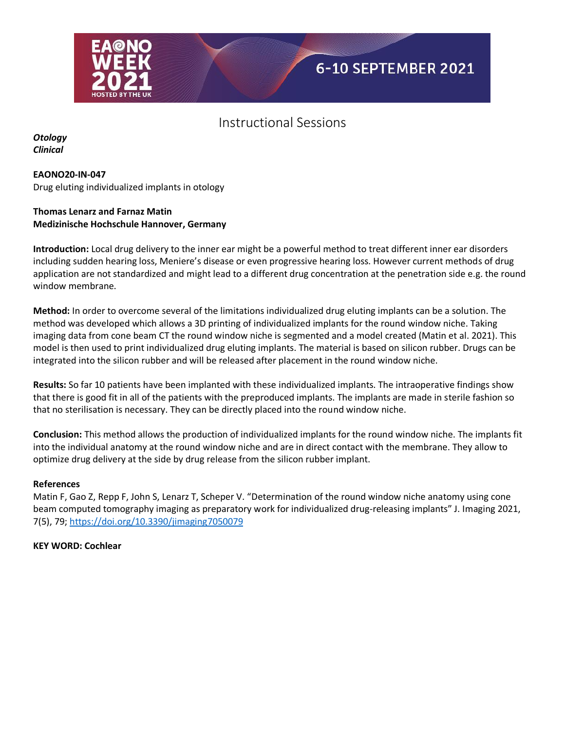

*Otology Clinical*

#### **EAONO20-IN-047**

Drug eluting individualized implants in otology

### **Thomas Lenarz and Farnaz Matin Medizinische Hochschule Hannover, Germany**

**Introduction:** Local drug delivery to the inner ear might be a powerful method to treat different inner ear disorders including sudden hearing loss, Meniere's disease or even progressive hearing loss. However current methods of drug application are not standardized and might lead to a different drug concentration at the penetration side e.g. the round window membrane.

**Method:** In order to overcome several of the limitations individualized drug eluting implants can be a solution. The method was developed which allows a 3D printing of individualized implants for the round window niche. Taking imaging data from cone beam CT the round window niche is segmented and a model created (Matin et al. 2021). This model is then used to print individualized drug eluting implants. The material is based on silicon rubber. Drugs can be integrated into the silicon rubber and will be released after placement in the round window niche.

**Results:** So far 10 patients have been implanted with these individualized implants. The intraoperative findings show that there is good fit in all of the patients with the preproduced implants. The implants are made in sterile fashion so that no sterilisation is necessary. They can be directly placed into the round window niche.

**Conclusion:** This method allows the production of individualized implants for the round window niche. The implants fit into the individual anatomy at the round window niche and are in direct contact with the membrane. They allow to optimize drug delivery at the side by drug release from the silicon rubber implant.

#### **References**

Matin F, Gao Z, Repp F, John S, Lenarz T, Scheper V. "Determination of the round window niche anatomy using cone beam computed tomography imaging as preparatory work for individualized drug-releasing implants" J. Imaging 2021, 7(5), 79[; https://doi.org/10.3390/jimaging7050079](https://doi.org/10.3390/jimaging7050079)

**KEY WORD: Cochlear**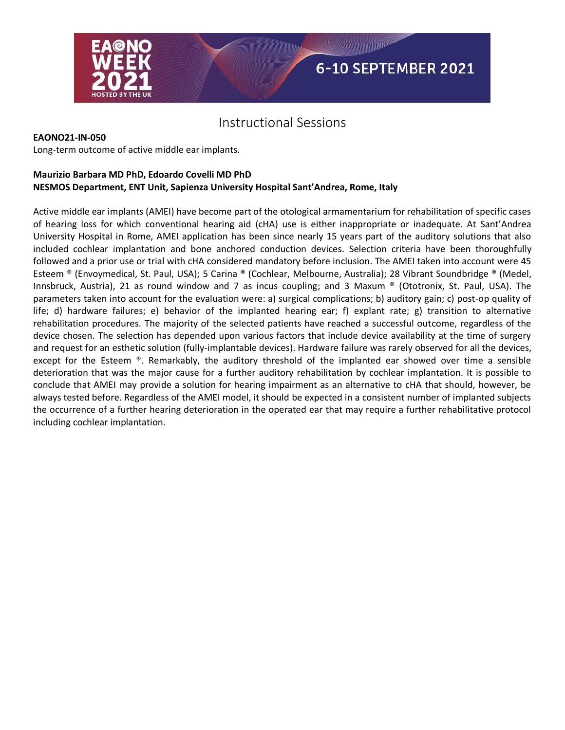

#### **EAONO21-IN-050**

Long-term outcome of active middle ear implants.

#### **Maurizio Barbara MD PhD, Edoardo Covelli MD PhD NESMOS Department, ENT Unit, Sapienza University Hospital Sant'Andrea, Rome, Italy**

Active middle ear implants (AMEI) have become part of the otological armamentarium for rehabilitation of specific cases of hearing loss for which conventional hearing aid (cHA) use is either inappropriate or inadequate. At Sant'Andrea University Hospital in Rome, AMEI application has been since nearly 15 years part of the auditory solutions that also included cochlear implantation and bone anchored conduction devices. Selection criteria have been thoroughfully followed and a prior use or trial with cHA considered mandatory before inclusion. The AMEI taken into account were 45 Esteem ® (Envoymedical, St. Paul, USA); 5 Carina ® (Cochlear, Melbourne, Australia); 28 Vibrant Soundbridge ® (Medel, Innsbruck, Austria), 21 as round window and 7 as incus coupling; and 3 Maxum ® (Ototronix, St. Paul, USA). The parameters taken into account for the evaluation were: a) surgical complications; b) auditory gain; c) post-op quality of life; d) hardware failures; e) behavior of the implanted hearing ear; f) explant rate; g) transition to alternative rehabilitation procedures. The majority of the selected patients have reached a successful outcome, regardless of the device chosen. The selection has depended upon various factors that include device availability at the time of surgery and request for an esthetic solution (fully-implantable devices). Hardware failure was rarely observed for all the devices, except for the Esteem ®. Remarkably, the auditory threshold of the implanted ear showed over time a sensible deterioration that was the major cause for a further auditory rehabilitation by cochlear implantation. It is possible to conclude that AMEI may provide a solution for hearing impairment as an alternative to cHA that should, however, be always tested before. Regardless of the AMEI model, it should be expected in a consistent number of implanted subjects the occurrence of a further hearing deterioration in the operated ear that may require a further rehabilitative protocol including cochlear implantation.